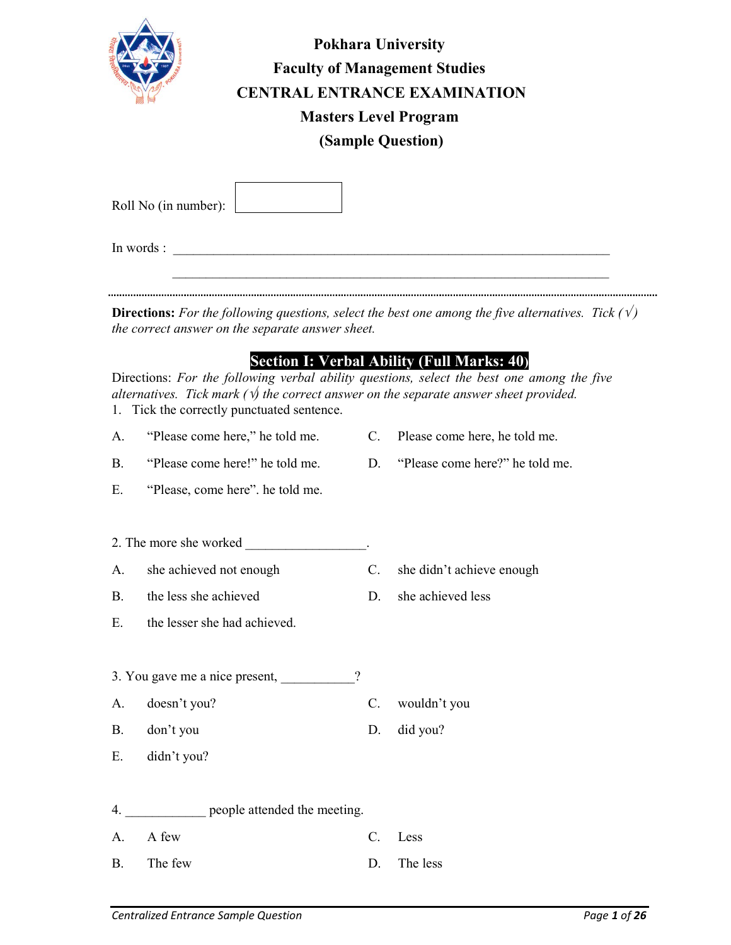

| <b>Pokhara University</b>            |
|--------------------------------------|
| <b>Faculty of Management Studies</b> |
| <b>CENTRAL ENTRANCE EXAMINATION</b>  |
| <b>Masters Level Program</b>         |
| (Sample Question)                    |

| Roll No (in number): |  |
|----------------------|--|

In words :

**Directions:** For the following questions, select the best one among the five alternatives. Tick  $(\sqrt{x})$ the correct answer on the separate answer sheet.

 $\mathcal{L}_\text{max} = \frac{1}{2} \sum_{i=1}^n \mathcal{L}_\text{max}(\mathbf{z}_i - \mathbf{z}_i)$ 

## Section I: Verbal Ability (Full Marks: 40)

Directions: For the following verbal ability questions, select the best one among the five alternatives. Tick mark ( $\psi$ ) the correct answer on the separate answer sheet provided. 1. Tick the correctly punctuated sentence.

- A. "Please come here," he told me. C. Please come here, he told me.
- B. "Please come here!" he told me. D. "Please come here?" he told me.
- 
- E. "Please, come here". he told me.
- 2. The more she worked \_\_\_\_\_\_\_\_\_\_\_\_\_\_\_\_\_\_.
- A. she achieved not enough C. she didn't achieve enough
- B. the less she achieved D. she achieved less
- E. the lesser she had achieved.
- 3. You gave me a nice present,  $\frac{1}{2}$
- A. doesn't you? C. wouldn't you
- B. don't you D. did you?
- E. didn't you?
- 4. **Example 2** people attended the meeting. A. A few C. Less
- B. The few D. The less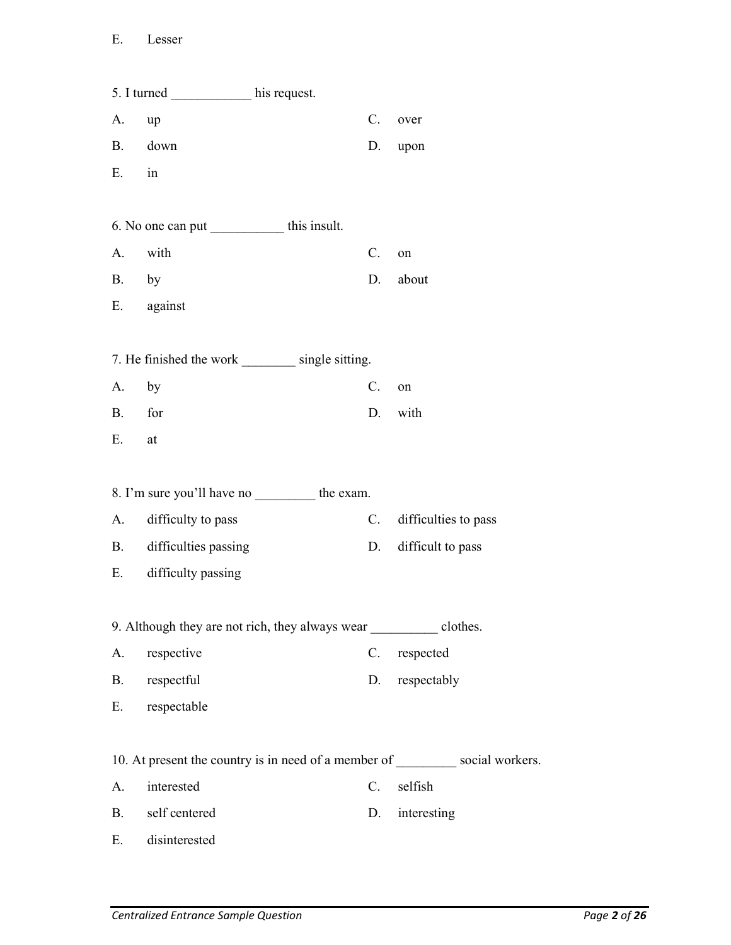|           | 5. I turned _____________ his request.                               |             |                      |
|-----------|----------------------------------------------------------------------|-------------|----------------------|
| А.        | up                                                                   | $C_{\cdot}$ | over                 |
|           | B. down                                                              | D.          | upon                 |
| E.        | in                                                                   |             |                      |
|           |                                                                      |             |                      |
|           | 6. No one can put ______________ this insult.                        |             |                      |
| А.        | with                                                                 | C.          | on                   |
| B. by     |                                                                      | D.          | about                |
|           | E. against                                                           |             |                      |
|           |                                                                      |             |                      |
|           | 7. He finished the work __________ single sitting.                   |             |                      |
| A. by     |                                                                      | $C_{\cdot}$ | on                   |
| <b>B.</b> | for                                                                  | D.          | with                 |
| Ε.        | at                                                                   |             |                      |
|           |                                                                      |             |                      |
|           | 8. I'm sure you'll have no __________ the exam.                      |             |                      |
| А.        | difficulty to pass                                                   | C.          | difficulties to pass |
| <b>B.</b> | difficulties passing                                                 | D.          | difficult to pass    |
| E.        | difficulty passing                                                   |             |                      |
|           |                                                                      |             |                      |
|           | 9. Although they are not rich, they always wear clothes.             |             |                      |
| A.        | respective                                                           | C.          | respected            |
| B.        | respectful                                                           | D.          | respectably          |
| Е.        | respectable                                                          |             |                      |
|           |                                                                      |             |                      |
|           | 10. At present the country is in need of a member of social workers. |             |                      |
| A.        | interested                                                           | C.          | selfish              |
| <b>B.</b> | self centered                                                        | D.          | interesting          |
| E.        | disinterested                                                        |             |                      |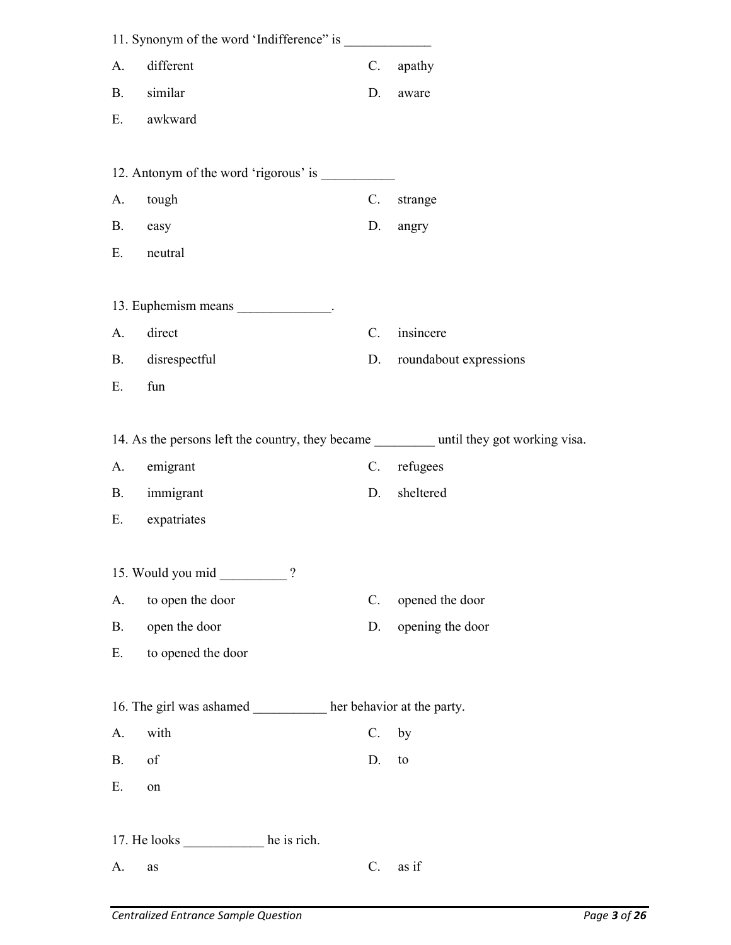|           | 11. Synonym of the word 'Indifference'' is          |             |                                                                                          |
|-----------|-----------------------------------------------------|-------------|------------------------------------------------------------------------------------------|
| A.        | different                                           | C.          | apathy                                                                                   |
| <b>B.</b> | similar                                             | D.          | aware                                                                                    |
| Е.        | awkward                                             |             |                                                                                          |
|           |                                                     |             |                                                                                          |
|           | 12. Antonym of the word 'rigorous' is               |             |                                                                                          |
| A.        | tough                                               | C.          | strange                                                                                  |
| <b>B.</b> | easy                                                | D.          | angry                                                                                    |
| Ε.        | neutral                                             |             |                                                                                          |
|           |                                                     |             |                                                                                          |
|           | 13. Euphemism means ______________.                 |             |                                                                                          |
| A.        | direct                                              | C.          | insincere                                                                                |
| <b>B.</b> | disrespectful                                       | D.          | roundabout expressions                                                                   |
| Ε.        | fun                                                 |             |                                                                                          |
|           |                                                     |             |                                                                                          |
|           |                                                     |             | 14. As the persons left the country, they became __________ until they got working visa. |
|           |                                                     |             |                                                                                          |
| A.        | emigrant                                            | C.          | refugees                                                                                 |
| <b>B.</b> | immigrant                                           | D.          | sheltered                                                                                |
| Ε.        | expatriates                                         |             |                                                                                          |
|           |                                                     |             |                                                                                          |
|           | 15. Would you mid<br>$\overline{?}$                 |             |                                                                                          |
| A.        | to open the door                                    | $C_{\cdot}$ | opened the door                                                                          |
| <b>B.</b> | open the door                                       | D.          | opening the door                                                                         |
| Е.        | to opened the door                                  |             |                                                                                          |
|           |                                                     |             |                                                                                          |
|           | 16. The girl was ashamed her behavior at the party. |             |                                                                                          |
| A.        | with                                                | $C_{\cdot}$ | by                                                                                       |
| B.        | of                                                  | D.          | to                                                                                       |
| Ε.        | on                                                  |             |                                                                                          |
|           |                                                     |             |                                                                                          |
|           | 17. He looks _________________ he is rich.          |             |                                                                                          |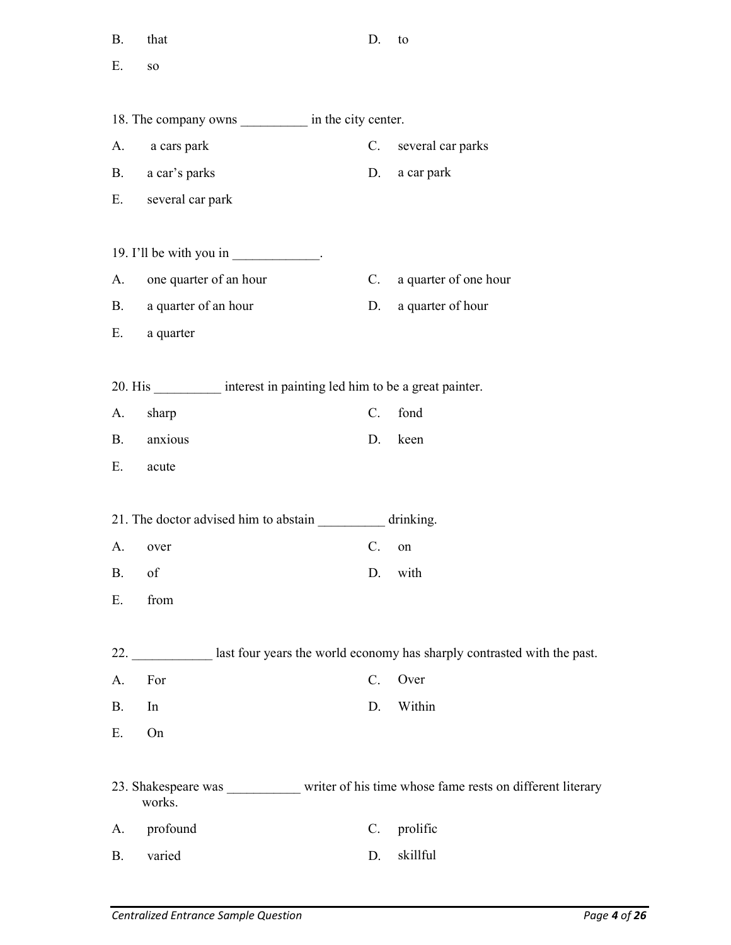| $\rm B.$  | that                                                                                                                                                                                                                                                                                                                                                                                                          | D.             | to                                                                            |
|-----------|---------------------------------------------------------------------------------------------------------------------------------------------------------------------------------------------------------------------------------------------------------------------------------------------------------------------------------------------------------------------------------------------------------------|----------------|-------------------------------------------------------------------------------|
| Ε.        | <b>SO</b>                                                                                                                                                                                                                                                                                                                                                                                                     |                |                                                                               |
|           |                                                                                                                                                                                                                                                                                                                                                                                                               |                |                                                                               |
|           | 18. The company owns _____________ in the city center.                                                                                                                                                                                                                                                                                                                                                        |                |                                                                               |
|           | A. a cars park                                                                                                                                                                                                                                                                                                                                                                                                |                | C. several car parks                                                          |
|           | B. a car's parks                                                                                                                                                                                                                                                                                                                                                                                              |                | D. a car park                                                                 |
|           | E. several car park                                                                                                                                                                                                                                                                                                                                                                                           |                |                                                                               |
|           | 19. I'll be with you in $\frac{1}{\sqrt{1-\frac{1}{\sqrt{1-\frac{1}{\sqrt{1-\frac{1}{\sqrt{1-\frac{1}{\sqrt{1-\frac{1}{\sqrt{1-\frac{1}{\sqrt{1-\frac{1}{\sqrt{1-\frac{1}{\sqrt{1-\frac{1}{\sqrt{1-\frac{1}{\sqrt{1-\frac{1}{\sqrt{1-\frac{1}{\sqrt{1-\frac{1}{\sqrt{1-\frac{1}{\sqrt{1-\frac{1}{\sqrt{1-\frac{1}{\sqrt{1-\frac{1}{\sqrt{1-\frac{1}{\sqrt{1-\frac{1}{\sqrt{1-\frac{1}{\sqrt{1-\frac{1}{\sqrt$ |                |                                                                               |
|           | A. one quarter of an hour                                                                                                                                                                                                                                                                                                                                                                                     | C.             | a quarter of one hour                                                         |
|           | B. a quarter of an hour                                                                                                                                                                                                                                                                                                                                                                                       | D.             | a quarter of hour                                                             |
|           | E. a quarter                                                                                                                                                                                                                                                                                                                                                                                                  |                |                                                                               |
|           | 20. His ____________ interest in painting led him to be a great painter.                                                                                                                                                                                                                                                                                                                                      |                |                                                                               |
|           |                                                                                                                                                                                                                                                                                                                                                                                                               | $C_{\cdot}$    | fond                                                                          |
| A.        | sharp                                                                                                                                                                                                                                                                                                                                                                                                         |                |                                                                               |
| <b>B.</b> | anxious                                                                                                                                                                                                                                                                                                                                                                                                       | D.             | keen                                                                          |
| Е.        | acute                                                                                                                                                                                                                                                                                                                                                                                                         |                |                                                                               |
|           | 21. The doctor advised him to abstain ____________ drinking.                                                                                                                                                                                                                                                                                                                                                  |                |                                                                               |
| A.        | over                                                                                                                                                                                                                                                                                                                                                                                                          | $\mathbb{C}$ . | on                                                                            |
| <b>B.</b> | of                                                                                                                                                                                                                                                                                                                                                                                                            | D.             | with                                                                          |
| Ε.        | from                                                                                                                                                                                                                                                                                                                                                                                                          |                |                                                                               |
|           |                                                                                                                                                                                                                                                                                                                                                                                                               |                | 22. last four years the world economy has sharply contrasted with the past.   |
| A.        | For                                                                                                                                                                                                                                                                                                                                                                                                           | $C$ .          | Over                                                                          |
| <b>B.</b> | In                                                                                                                                                                                                                                                                                                                                                                                                            | D.             | Within                                                                        |
| Ε.        | On                                                                                                                                                                                                                                                                                                                                                                                                            |                |                                                                               |
|           | works.                                                                                                                                                                                                                                                                                                                                                                                                        |                | 23. Shakespeare was writer of his time whose fame rests on different literary |
| A.        | profound                                                                                                                                                                                                                                                                                                                                                                                                      | $C$ .          | prolific                                                                      |
| <b>B.</b> | varied                                                                                                                                                                                                                                                                                                                                                                                                        | D.             | skillful                                                                      |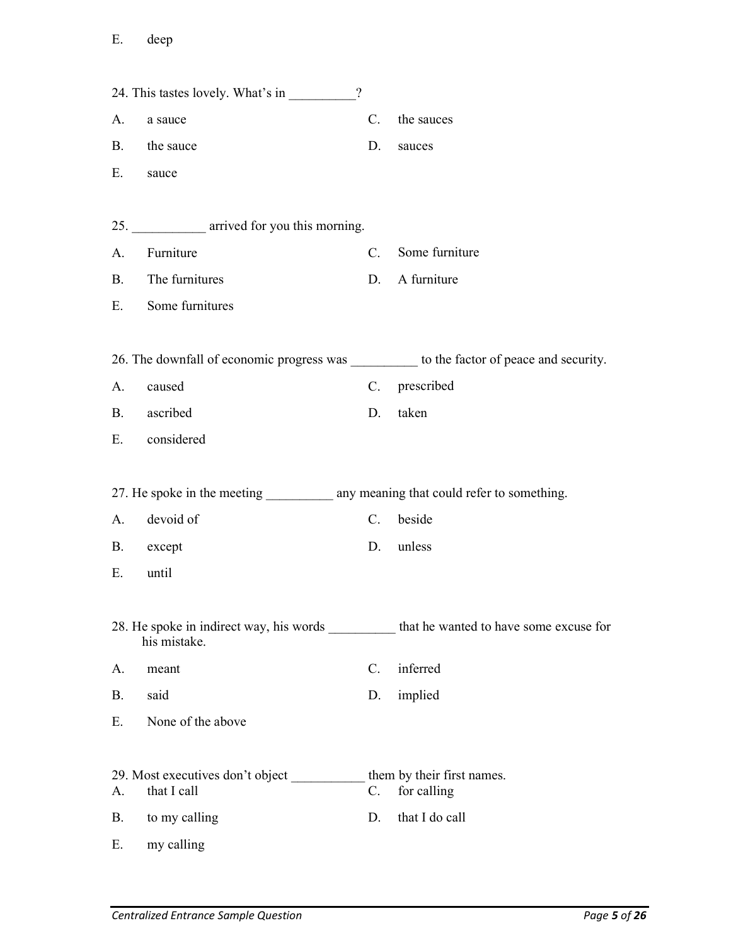|           | 24. This tastes lovely. What's in                                                   | $\overline{?}$ |                                                                                          |
|-----------|-------------------------------------------------------------------------------------|----------------|------------------------------------------------------------------------------------------|
| A.        | a sauce                                                                             | C.             | the sauces                                                                               |
| <b>B.</b> | the sauce                                                                           | D.             | sauces                                                                                   |
| Ε.        | sauce                                                                               |                |                                                                                          |
|           |                                                                                     |                |                                                                                          |
|           | 25. ______________ arrived for you this morning.                                    |                |                                                                                          |
| A.        | Furniture                                                                           | $C_{\cdot}$    | Some furniture                                                                           |
|           | B. The furnitures                                                                   | D.             | A furniture                                                                              |
|           | E. Some furnitures                                                                  |                |                                                                                          |
|           |                                                                                     |                |                                                                                          |
|           |                                                                                     |                | 26. The downfall of economic progress was _________ to the factor of peace and security. |
| A.        | caused                                                                              |                | C. prescribed                                                                            |
|           | B. ascribed                                                                         | D.             | taken                                                                                    |
|           | E. considered                                                                       |                |                                                                                          |
|           |                                                                                     |                |                                                                                          |
|           | 27. He spoke in the meeting ____________ any meaning that could refer to something. |                |                                                                                          |
| A.        | devoid of                                                                           | $C_{\cdot}$    | beside                                                                                   |
| <b>B.</b> | except                                                                              | D.             | unless                                                                                   |
| Ε.        | until                                                                               |                |                                                                                          |
|           |                                                                                     |                |                                                                                          |
|           | his mistake.                                                                        |                | 28. He spoke in indirect way, his words that he wanted to have some excuse for           |
| A.        | meant                                                                               | $C$ .          | inferred                                                                                 |
| <b>B.</b> | said                                                                                | D.             | implied                                                                                  |
| Ε.        | None of the above                                                                   |                |                                                                                          |
|           |                                                                                     |                |                                                                                          |
| A.        | 29. Most executives don't object<br>that I call                                     | $C_{\cdot}$    | them by their first names.<br>for calling                                                |
| <b>B.</b> | to my calling                                                                       | D.             | that I do call                                                                           |
| Ε.        | my calling                                                                          |                |                                                                                          |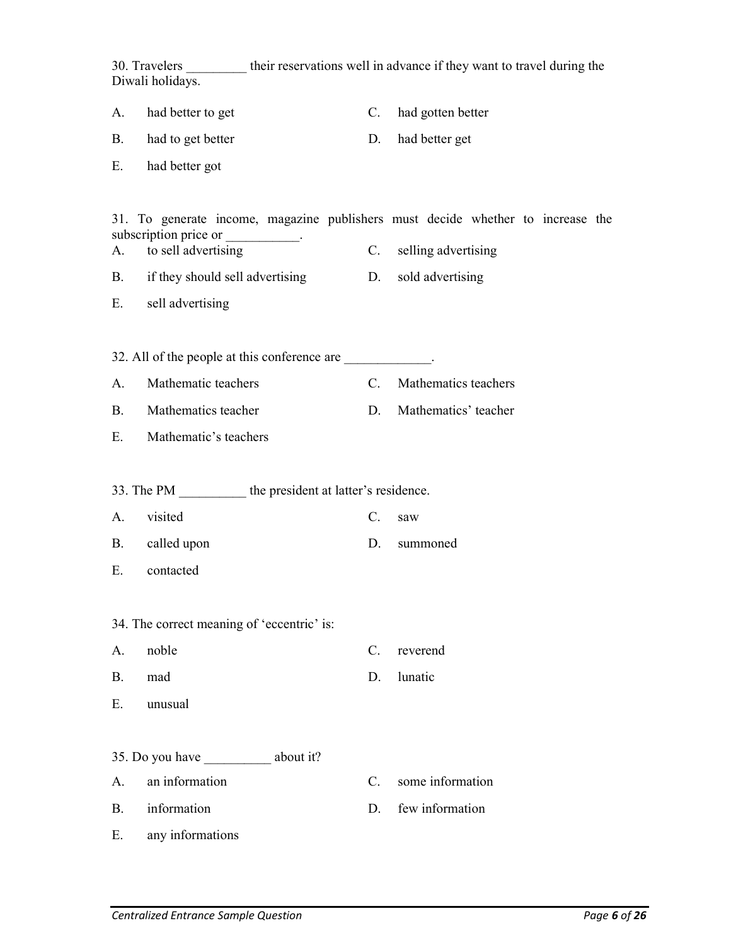30. Travelers \_\_\_\_\_\_\_\_\_ their reservations well in advance if they want to travel during the Diwali holidays. A. had better to get C. had gotten better B. had to get better D. had better get E. had better got 31. To generate income, magazine publishers must decide whether to increase the subscription price or \_\_\_\_\_\_\_\_\_\_. A. to sell advertising C. selling advertising B. if they should sell advertising D. sold advertising E. sell advertising 32. All of the people at this conference are \_\_\_\_\_\_\_\_\_\_\_\_. A. Mathematic teachers C. Mathematics teachers B. Mathematics teacher D. Mathematics' teacher E. Mathematic's teachers 33. The PM  $\qquad \qquad$  the president at latter's residence. A. visited C. saw B. called upon D. summoned E. contacted 34. The correct meaning of 'eccentric' is: A. noble C. reverend B. mad D. lunatic E. unusual 35. Do you have about it? A. an information C. some information B. information D. few information E. any informations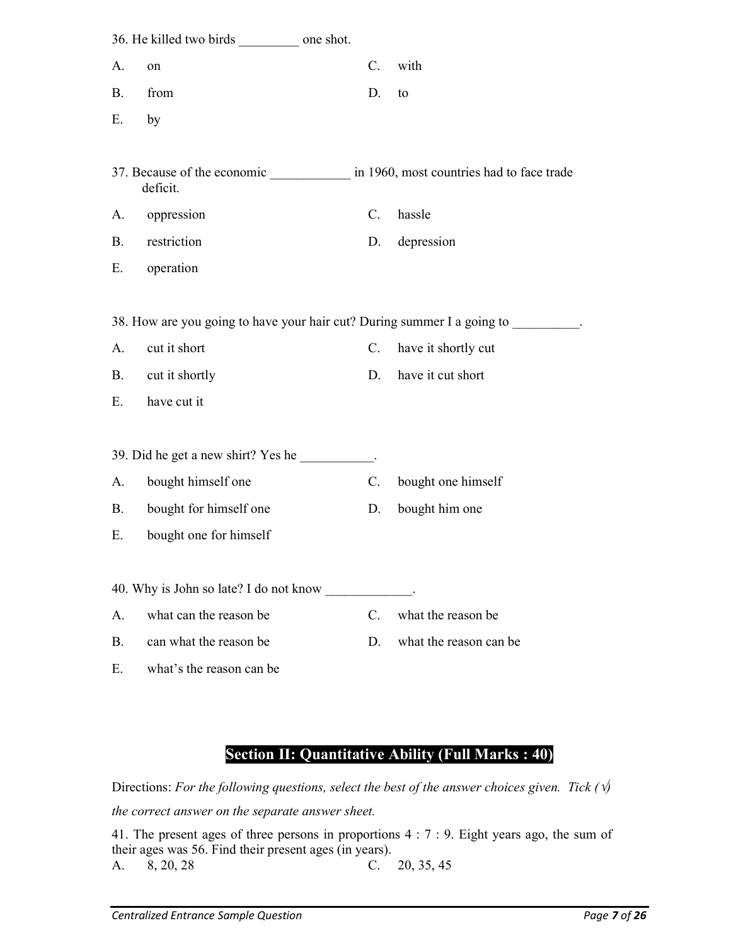|           | 36. He killed two birds one shot.                                         |                 |                                           |
|-----------|---------------------------------------------------------------------------|-----------------|-------------------------------------------|
| A.        | on                                                                        | C.              | with                                      |
| B.        | from                                                                      | D.              | to                                        |
| Ε.        | by                                                                        |                 |                                           |
|           |                                                                           |                 |                                           |
|           | 37. Because of the economic<br>deficit.                                   |                 | in 1960, most countries had to face trade |
| A.        | oppression                                                                | $C_{\cdot}$     | hassle                                    |
| B.        | restriction                                                               | D.              | depression                                |
| Е.        | operation                                                                 |                 |                                           |
|           |                                                                           |                 |                                           |
|           | 38. How are you going to have your hair cut? During summer I a going to . |                 |                                           |
| A.        | cut it short                                                              | $C_{\cdot}$     | have it shortly cut                       |
| <b>B.</b> | cut it shortly                                                            | D.              | have it cut short                         |
| Ε.        | have cut it                                                               |                 |                                           |
|           |                                                                           |                 |                                           |
|           | 39. Did he get a new shirt? Yes he _________.                             |                 |                                           |
| A.        | bought himself one                                                        | $\mathcal{C}$ . | bought one himself                        |
| В.        | bought for himself one                                                    | D.              | bought him one                            |
| Ε.        | bought one for himself                                                    |                 |                                           |
|           |                                                                           |                 |                                           |
|           | 40. Why is John so late? I do not know                                    |                 |                                           |
| A.        | what can the reason be                                                    | $\mathcal{C}$ . | what the reason be                        |
| <b>B.</b> | can what the reason be                                                    | D.              | what the reason can be                    |
| Ε.        | what's the reason can be                                                  |                 |                                           |

## Section II: Quantitative Ability (Full Marks : 40)

Directions: For the following questions, select the best of the answer choices given. Tick ( $\psi$ ) the correct answer on the separate answer sheet.

41. The present ages of three persons in proportions 4 : 7 : 9. Eight years ago, the sum of their ages was 56. Find their present ages (in years). A. 8, 20, 28 C. 20, 35, 45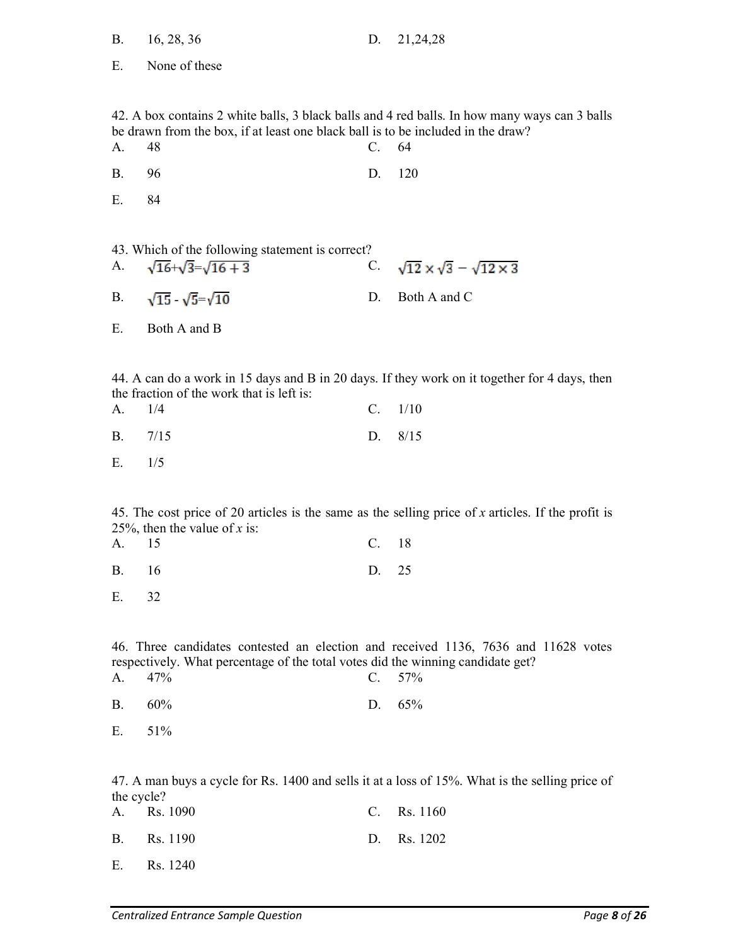| <b>B.</b>        | 16, 28, 36                                                                                 | D.             | 21,24,28                                                                                              |
|------------------|--------------------------------------------------------------------------------------------|----------------|-------------------------------------------------------------------------------------------------------|
| Е.               | None of these                                                                              |                |                                                                                                       |
|                  |                                                                                            |                |                                                                                                       |
| А.               | be drawn from the box, if at least one black ball is to be included in the draw?<br>48     | C.             | 42. A box contains 2 white balls, 3 black balls and 4 red balls. In how many ways can 3 balls<br>64   |
| В.               | 96                                                                                         | D.             | 120                                                                                                   |
| Ε.               | 84                                                                                         |                |                                                                                                       |
|                  |                                                                                            |                |                                                                                                       |
| A.               | 43. Which of the following statement is correct?<br>$\sqrt{16} + \sqrt{3} = \sqrt{16} + 3$ |                | C. $\sqrt{12} \times \sqrt{3} - \sqrt{12 \times 3}$                                                   |
| B.               | $\sqrt{15}$ - $\sqrt{5}$ = $\sqrt{10}$                                                     | D.             | Both A and C                                                                                          |
| Ε.               | Both A and B                                                                               |                |                                                                                                       |
|                  |                                                                                            |                |                                                                                                       |
| А.               | the fraction of the work that is left is:<br>1/4                                           | $C_{\cdot}$    | 44. A can do a work in 15 days and B in 20 days. If they work on it together for 4 days, then<br>1/10 |
|                  |                                                                                            |                |                                                                                                       |
| Β.               | 7/15                                                                                       | D.             | 8/15                                                                                                  |
| Ε.               | 1/5                                                                                        |                |                                                                                                       |
|                  | 25%, then the value of x is:                                                               |                | 45. The cost price of 20 articles is the same as the selling price of x articles. If the profit is    |
| A.               | 15                                                                                         | $\mathbb{C}$ . | 18                                                                                                    |
| Β.               | 16                                                                                         | D.             | 25                                                                                                    |
| Ε.               | 32                                                                                         |                |                                                                                                       |
|                  |                                                                                            |                |                                                                                                       |
| A.               | respectively. What percentage of the total votes did the winning candidate get?<br>47%     | $C_{\cdot}$    | 46. Three candidates contested an election and received 1136, 7636 and 11628 votes<br>57%             |
| Β.               | 60%                                                                                        | D.             | 65%                                                                                                   |
| Ε.               | 51%                                                                                        |                |                                                                                                       |
|                  |                                                                                            |                |                                                                                                       |
|                  |                                                                                            |                | 47. A man buys a cycle for Rs. 1400 and sells it at a loss of 15%. What is the selling price of       |
| the cycle?<br>А. | Rs. 1090                                                                                   | $\mathbb{C}$ . | Rs. 1160                                                                                              |
| Β.               | Rs. 1190                                                                                   | D.             | Rs. 1202                                                                                              |

E. Rs. 1240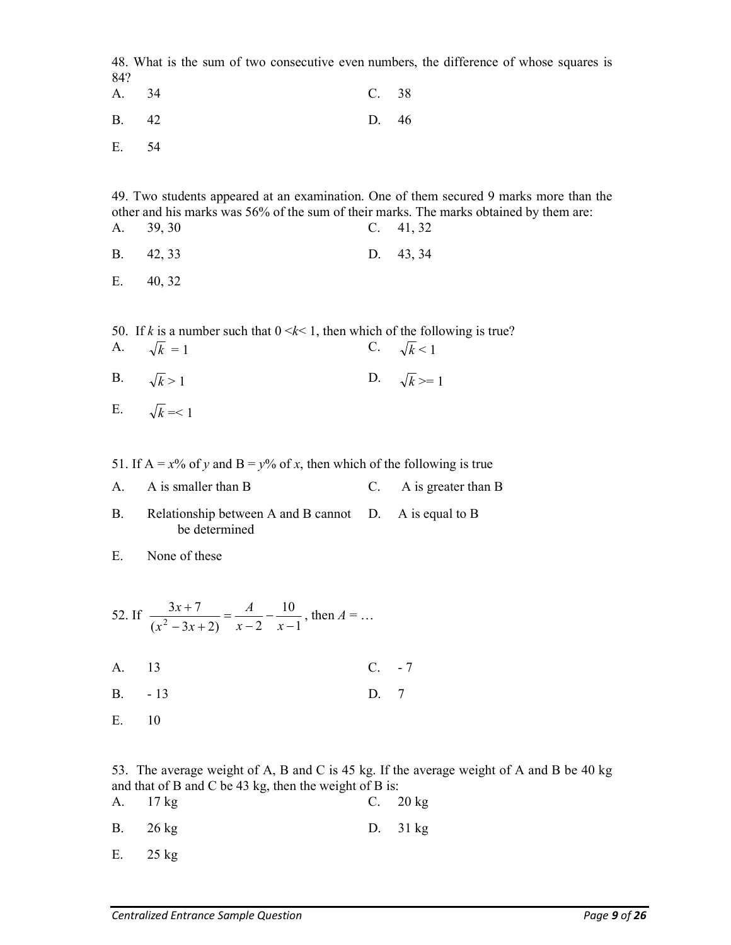48. What is the sum of two consecutive even numbers, the difference of whose squares is 84?

- A. 34 C. 38 B. 42 D. 46
- E. 54

49. Two students appeared at an examination. One of them secured 9 marks more than the other and his marks was 56% of the sum of their marks. The marks obtained by them are: A. 39, 30 C. 41, 32

- B. 42, 33 D. 43, 34
- E. 40, 32
- 50. If k is a number such that  $0 \le k \le 1$ , then which of the following is true? A.  $\sqrt{k} = 1$  C.  $\sqrt{k} < 1$
- B.  $\sqrt{k} > 1$  D.  $\sqrt{k} > = 1$

E.  $\sqrt{k} = 1$ 

51. If A =  $x\%$  of y and B =  $y\%$  of x, then which of the following is true

- A. A is smaller than B C. A is greater than B
- B. Relationship between A and B cannot D. A is equal to B be determined

E. None of these

- 52. If 1 10  $(x^2-3x+2)$   $x-2$  $3x + 7$  $\frac{3x+7}{2-3x+2} = \frac{71}{x-2} - \frac{10}{x-1}$  $\overline{\phantom{0}}$  $=$  $-3x+$  $^{+}$  $x-2$  x A  $x^2-3x$  $\frac{x+7}{x+7} = \frac{A}{2} - \frac{10}{x}$ , then  $A = ...$
- A. 13 C. 7
- B. 13 D. 7
- E. 10

53. The average weight of A, B and C is 45 kg. If the average weight of A and B be 40 kg and that of B and C be 43 kg, then the weight of B is:

| A. 17 kg |  | C. $20 \text{ kg}$ |
|----------|--|--------------------|
| B. 26 kg |  | D. $31 \text{ kg}$ |
| E. 25 kg |  |                    |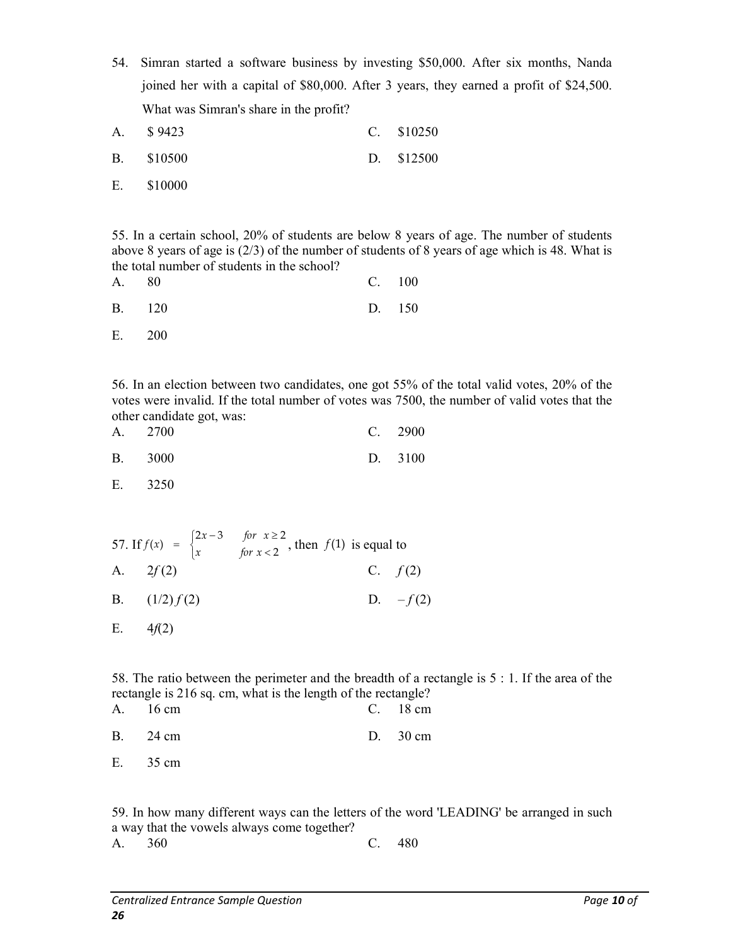54. Simran started a software business by investing \$50,000. After six months, Nanda joined her with a capital of \$80,000. After 3 years, they earned a profit of \$24,500. What was Simran's share in the profit?

| A. \$9423  | $C. \quad $10250$ |
|------------|-------------------|
| B. \$10500 | D. \$12500        |
| E. \$10000 |                   |

55. In a certain school, 20% of students are below 8 years of age. The number of students above 8 years of age is  $(2/3)$  of the number of students of 8 years of age which is 48. What is the total number of students in the school?

| A. 80 |               | C. 100 |
|-------|---------------|--------|
|       | <b>B.</b> 120 | D. 150 |
|       | E. 200        |        |

56. In an election between two candidates, one got 55% of the total valid votes, 20% of the votes were invalid. If the total number of votes was 7500, the number of valid votes that the other candidate got, was:

| A. 2700 | C. 2900 |
|---------|---------|
| B. 3000 | D. 3100 |

E. 3250

57. If  $f(x) = \begin{cases} x^2 & \text{if } x \neq 0 \\ y & \text{if } x = 0 \end{cases}$  $\overline{\phantom{a}}$  $=\begin{cases} 2x-3 & \text{for } x \ge 0 \\ x & \text{for } x < 2 \end{cases}$  $f(x) = \begin{cases} 2x-3 & \text{for } x \ge 2 \\ x & \text{for } x < 2 \end{cases}$  $f(x) = \begin{cases} 2x-3 & \text{for } x \ge 2 \\ 0 & \text{for } x > 2 \end{cases}$ , then  $f(1)$  is equal to A.  $2f(2)$  C.  $f(2)$ B.  $(1/2) f(2)$  D.  $-f(2)$ E.  $4f(2)$ 

58. The ratio between the perimeter and the breadth of a rectangle is 5 : 1. If the area of the rectangle is 216 sq. cm, what is the length of the rectangle?

| A. 16 cm | C. $18 \text{ cm}$ |
|----------|--------------------|
| B. 24 cm | D. $30 \text{ cm}$ |
| E. 35 cm |                    |

59. In how many different ways can the letters of the word 'LEADING' be arranged in such a way that the vowels always come together? A. 360 C. 480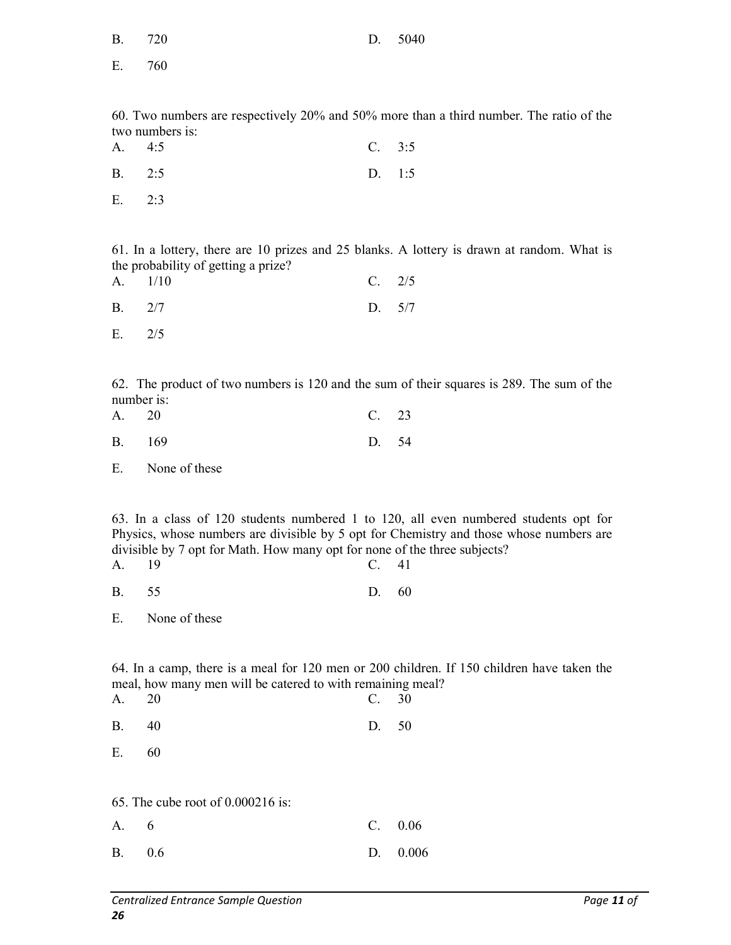| <b>B.</b> | 720             | D.     | 5040                                                                                    |
|-----------|-----------------|--------|-----------------------------------------------------------------------------------------|
| Ε.        | 760             |        |                                                                                         |
|           |                 |        |                                                                                         |
|           | two numbers is: |        | 60. Two numbers are respectively 20% and 50% more than a third number. The ratio of the |
| Α.        | 4:5             | C. 3:5 |                                                                                         |
| <b>B.</b> | 2:5             | D. 1:5 |                                                                                         |
| E.        | 2:3             |        |                                                                                         |
|           |                 |        |                                                                                         |

61. In a lottery, there are 10 prizes and 25 blanks. A lottery is drawn at random. What is the probability of getting a prize?<br> $\Lambda = 1/10$ 

| A. 1/10 | $C. \t2/5$ |
|---------|------------|
| B. 2/7  | D. $5/7$   |
| E. 2/5  |            |

62. The product of two numbers is 120 and the sum of their squares is 289. The sum of the number is:

| A. 20 |        | C. 23 |  |
|-------|--------|-------|--|
|       | B. 169 | D. 54 |  |

E. None of these

63. In a class of 120 students numbered 1 to 120, all even numbered students opt for Physics, whose numbers are divisible by 5 opt for Chemistry and those whose numbers are divisible by 7 opt for Math. How many opt for none of the three subjects? A. 19 C. 41

B. 55 D. 60

64. In a camp, there is a meal for 120 men or 200 children. If 150 children have taken the meal, how many men will be catered to with remaining meal?

| A.        | 20                                  | C. 30       |       |
|-----------|-------------------------------------|-------------|-------|
| <b>B.</b> | 40                                  | D.          | 50    |
| Ε.        | 60                                  |             |       |
|           |                                     |             |       |
|           | 65. The cube root of $0.000216$ is: |             |       |
| A.        | 6                                   | $C_{\cdot}$ | 0.06  |
| <b>B.</b> | 0.6                                 | D.          | 0.006 |

E. None of these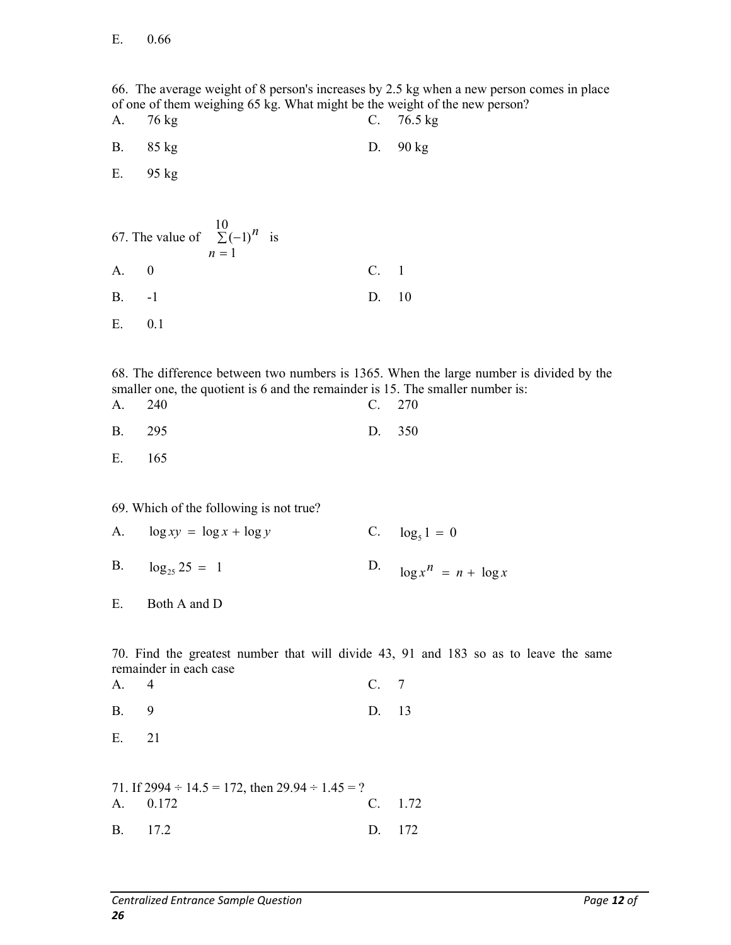66. The average weight of 8 person's increases by 2.5 kg when a new person comes in place of one of them weighing 65 kg. What might be the weight of the new person? A. 76 kg C. 76.5 kg B. 85 kg D. 90 kg E. 95 kg 67. The value of  $\sum (-1)^n$  $n=1$ 10  $(-1)^n$  is A. 0 C. 1 B. -1 D. 10 E. 0.1 68. The difference between two numbers is 1365. When the large number is divided by the smaller one, the quotient is 6 and the remainder is 15. The smaller number is: A. 240 C. 270 B. 295 D. 350 E. 165 69. Which of the following is not true? A.  $\log xy = \log x + \log y$  C.  $\log_5 1 = 0$ B.  $\log_{25} 25 = 1$  $\log x^n = n + \log x$ E. Both A and D 70. Find the greatest number that will divide 43, 91 and 183 so as to leave the same remainder in each case A. 4 C. 7 B. 9 D. 13 E. 21 71. If  $2994 \div 14.5 = 172$ , then  $29.94 \div 1.45 = ?$ A. 0.172 C. 1.72 B. 17.2 D. 172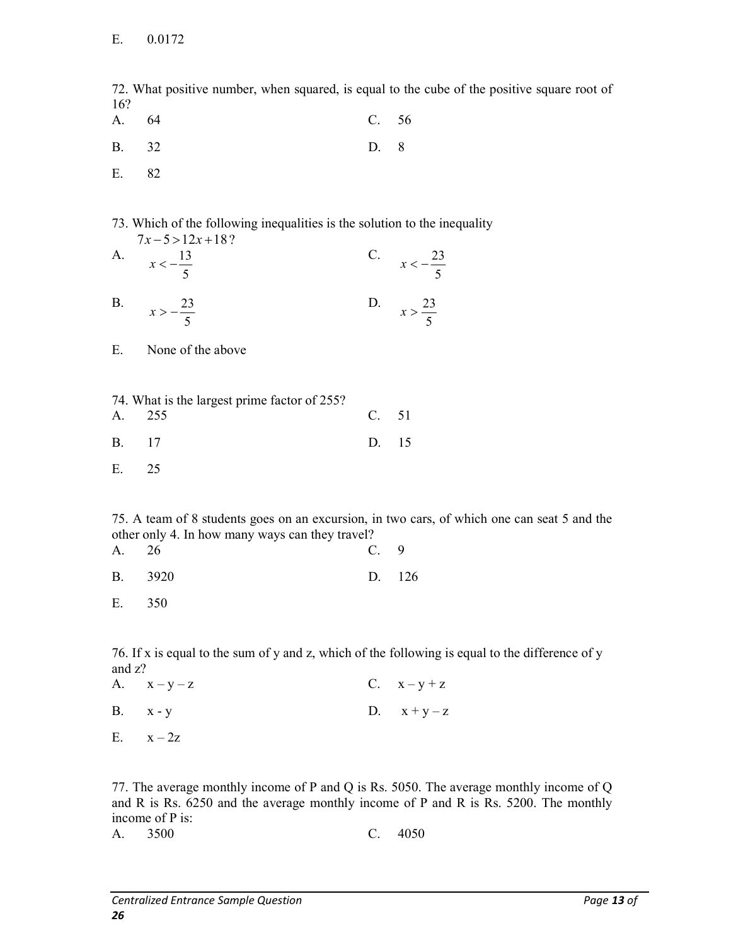72. What positive number, when squared, is equal to the cube of the positive square root of 16?

- A. 64 C. 56
- B. 32 D. 8
- E. 82

73. Which of the following inequalities is the solution to the inequality  $7x - 5 > 12x + 18$ ?

| A.        | $x < -\frac{13}{5}$ |  | C. $x < -\frac{23}{5}$ |
|-----------|---------------------|--|------------------------|
| <b>B.</b> | $x > -\frac{23}{5}$ |  | D. $x > \frac{23}{5}$  |

- E. None of the above
- 74. What is the largest prime factor of 255?
- A. 255 C. 51 B. 17 D. 15
- E. 25

75. A team of 8 students goes on an excursion, in two cars, of which one can seat 5 and the other only 4. In how many ways can they travel?

| A. 26 |         |  | C. 9 |        |
|-------|---------|--|------|--------|
|       | B. 3920 |  |      | D. 126 |

E. 350

76. If x is equal to the sum of y and z, which of the following is equal to the difference of y and z?

| A. $x-y-z$   | C. $x - y + z$ |
|--------------|----------------|
| $B.$ $x - y$ | D. $x+y-z$     |
| E. $x-2z$    |                |

77. The average monthly income of P and Q is Rs. 5050. The average monthly income of Q and R is Rs. 6250 and the average monthly income of P and R is Rs. 5200. The monthly income of P is:

A. 3500 C. 4050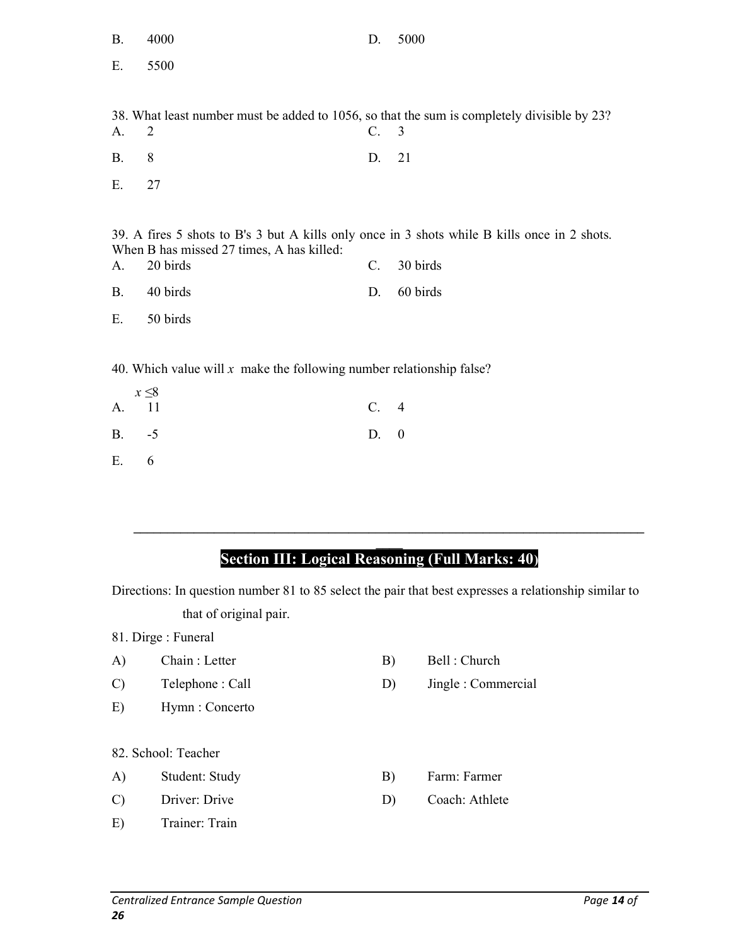| <b>B.</b> | 4000                                                                                        | D.          | 5000                                                                                         |
|-----------|---------------------------------------------------------------------------------------------|-------------|----------------------------------------------------------------------------------------------|
| Ε.        | 5500                                                                                        |             |                                                                                              |
|           |                                                                                             |             |                                                                                              |
|           | 38. What least number must be added to 1056, so that the sum is completely divisible by 23? |             |                                                                                              |
| A.        | 2                                                                                           | C. 3        |                                                                                              |
| <b>B.</b> | 8                                                                                           | D.          | 21                                                                                           |
| Ε.        | 27                                                                                          |             |                                                                                              |
|           |                                                                                             |             |                                                                                              |
|           |                                                                                             |             | 39. A fires 5 shots to B's 3 but A kills only once in 3 shots while B kills once in 2 shots. |
|           | When B has missed 27 times, A has killed:                                                   |             |                                                                                              |
| A.        | 20 birds                                                                                    | C.          | 30 birds                                                                                     |
| <b>B.</b> | 40 birds                                                                                    | D.          | 60 birds                                                                                     |
| Ε.        | 50 birds                                                                                    |             |                                                                                              |
|           |                                                                                             |             |                                                                                              |
|           | 40. Which value will $x$ make the following number relationship false?                      |             |                                                                                              |
|           | $x \leq 8$                                                                                  |             |                                                                                              |
| A.        | 11                                                                                          | $C_{\cdot}$ | $\overline{4}$                                                                               |
| <b>B.</b> | $-5$                                                                                        | D.          | $\boldsymbol{0}$                                                                             |

E. 6

# Section III: Logical Reasoning (Full Marks: 40)

 $\mathcal{L}_\mathcal{L} = \mathcal{L}_\mathcal{L} = \mathcal{L}_\mathcal{L} = \mathcal{L}_\mathcal{L} = \mathcal{L}_\mathcal{L} = \mathcal{L}_\mathcal{L} = \mathcal{L}_\mathcal{L} = \mathcal{L}_\mathcal{L} = \mathcal{L}_\mathcal{L} = \mathcal{L}_\mathcal{L} = \mathcal{L}_\mathcal{L} = \mathcal{L}_\mathcal{L} = \mathcal{L}_\mathcal{L} = \mathcal{L}_\mathcal{L} = \mathcal{L}_\mathcal{L} = \mathcal{L}_\mathcal{L} = \mathcal{L}_\mathcal{L}$ 

Directions: In question number 81 to 85 select the pair that best expresses a relationship similar to that of original pair.

- 81. Dirge : Funeral
- A) Chain : Letter B) Bell : Church
- C) Telephone : Call D) Jingle : Commercial
- E) Hymn : Concerto

82. School: Teacher

- A) Student: Study B) Farm: Farmer
- C) Driver: Drive D) Coach: Athlete
- E) Trainer: Train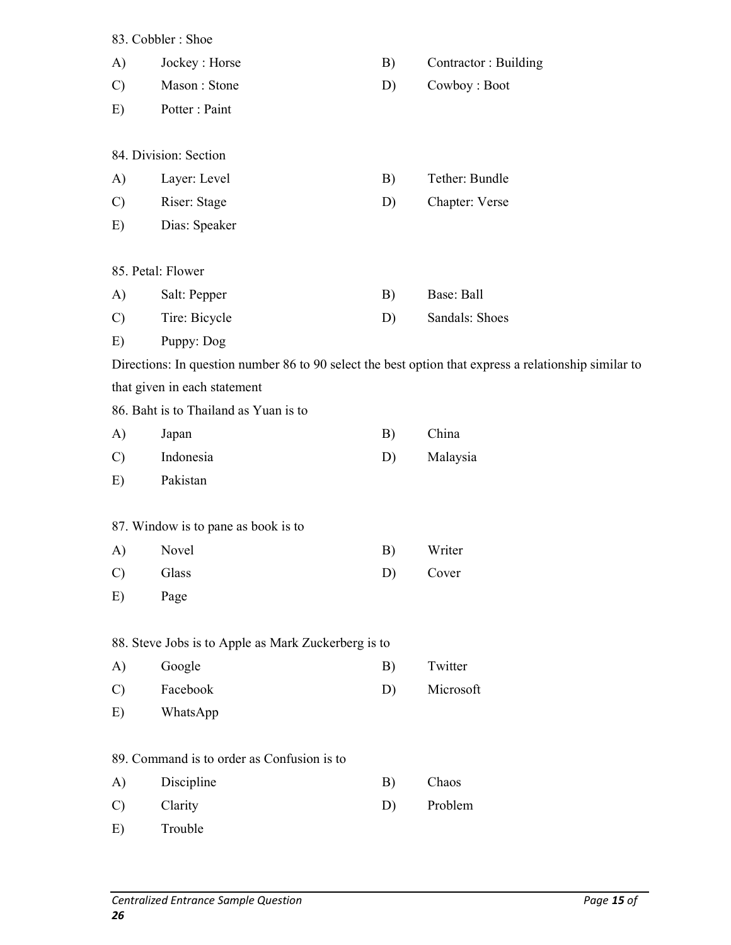|               | 83. Cobbler: Shoe                                   |    |                                                                                                       |
|---------------|-----------------------------------------------------|----|-------------------------------------------------------------------------------------------------------|
| A)            | Jockey: Horse                                       | B) | Contractor: Building                                                                                  |
| $\mathcal{C}$ | Mason: Stone                                        | D) | Cowboy: Boot                                                                                          |
| E)            | Potter: Paint                                       |    |                                                                                                       |
|               | 84. Division: Section                               |    |                                                                                                       |
| A)            | Layer: Level                                        | B) | Tether: Bundle                                                                                        |
| $\mathcal{C}$ | Riser: Stage                                        | D) | Chapter: Verse                                                                                        |
| E)            | Dias: Speaker                                       |    |                                                                                                       |
|               | 85. Petal: Flower                                   |    |                                                                                                       |
| A)            | Salt: Pepper                                        | B) | Base: Ball                                                                                            |
| $\mathcal{C}$ | Tire: Bicycle                                       | D) | Sandals: Shoes                                                                                        |
| E)            | Puppy: Dog                                          |    |                                                                                                       |
|               |                                                     |    | Directions: In question number 86 to 90 select the best option that express a relationship similar to |
|               | that given in each statement                        |    |                                                                                                       |
|               | 86. Baht is to Thailand as Yuan is to               |    |                                                                                                       |
| A)            | Japan                                               | B) | China                                                                                                 |
| $\mathcal{C}$ | Indonesia                                           | D) | Malaysia                                                                                              |
| E)            | Pakistan                                            |    |                                                                                                       |
|               | 87. Window is to pane as book is to                 |    |                                                                                                       |
| A)            | Novel                                               | B) | Writer                                                                                                |
| $\mathcal{C}$ | Glass                                               | D) | Cover                                                                                                 |
| E)            | Page                                                |    |                                                                                                       |
|               | 88. Steve Jobs is to Apple as Mark Zuckerberg is to |    |                                                                                                       |
| A)            | Google                                              | B) | Twitter                                                                                               |
| $\mathcal{C}$ | Facebook                                            | D) | Microsoft                                                                                             |
| E)            | WhatsApp                                            |    |                                                                                                       |
|               | 89. Command is to order as Confusion is to          |    |                                                                                                       |
| A)            | Discipline                                          | B) | Chaos                                                                                                 |
| $\mathcal{C}$ | Clarity                                             | D) | Problem                                                                                               |
| E)            | Trouble                                             |    |                                                                                                       |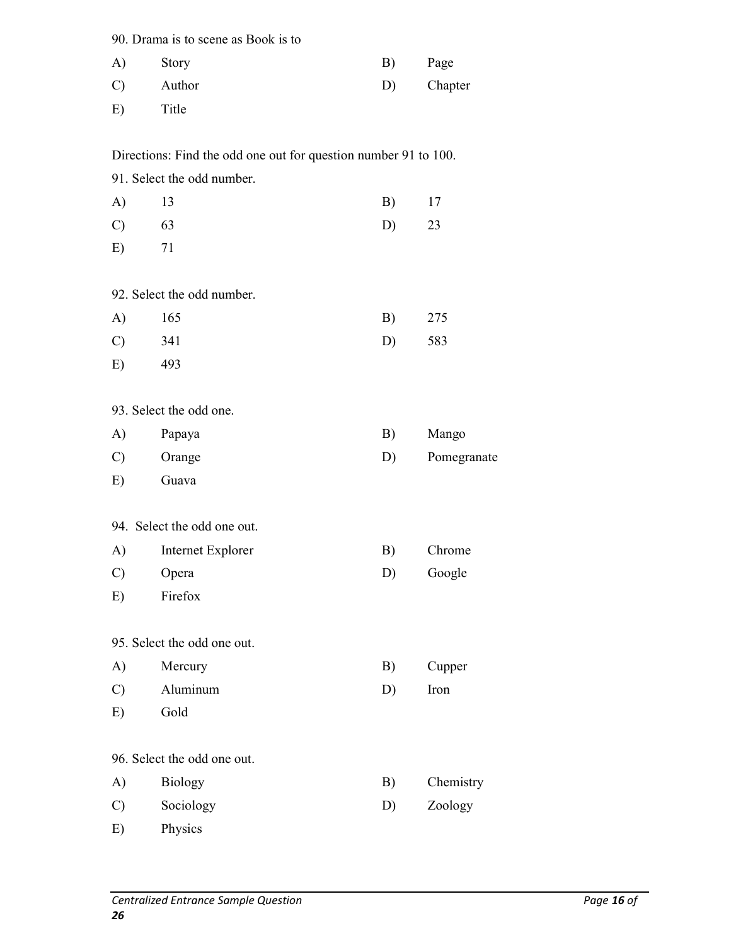90. Drama is to scene as Book is to

| A)            | Story  | B) | Page    |
|---------------|--------|----|---------|
| $\mathcal{C}$ | Author | D) | Chapter |
| E)            | Title  |    |         |

Directions: Find the odd one out for question number 91 to 100.

91. Select the odd number.

| $A)$ 13          | B) 17   |  |
|------------------|---------|--|
| $\mathcal{C}$ 63 | $D)$ 23 |  |
| $E)$ 71          |         |  |

92. Select the odd number.

| A) 165   | B) 275 |  |
|----------|--------|--|
| $C)$ 341 | D) 583 |  |
| $E)$ 493 |        |  |

93. Select the odd one.

| $\mathbf{A}$  | Papaya | B) | Mango       |
|---------------|--------|----|-------------|
| $\mathcal{C}$ | Orange | D) | Pomegranate |
| E)            | Guava  |    |             |

94. Select the odd one out.

| A)            | Internet Explorer | Chrome |
|---------------|-------------------|--------|
| $\mathcal{C}$ | Opera             | Google |

E) Firefox

95. Select the odd one out.

- A) Mercury B) Cupper
- C) Aluminum D) Iron
- E) Gold

96. Select the odd one out.

| $\mathbf{A})$ | <b>Biology</b> | Chemistry |
|---------------|----------------|-----------|
| $\mathcal{C}$ | Sociology      | Zoology   |

E) Physics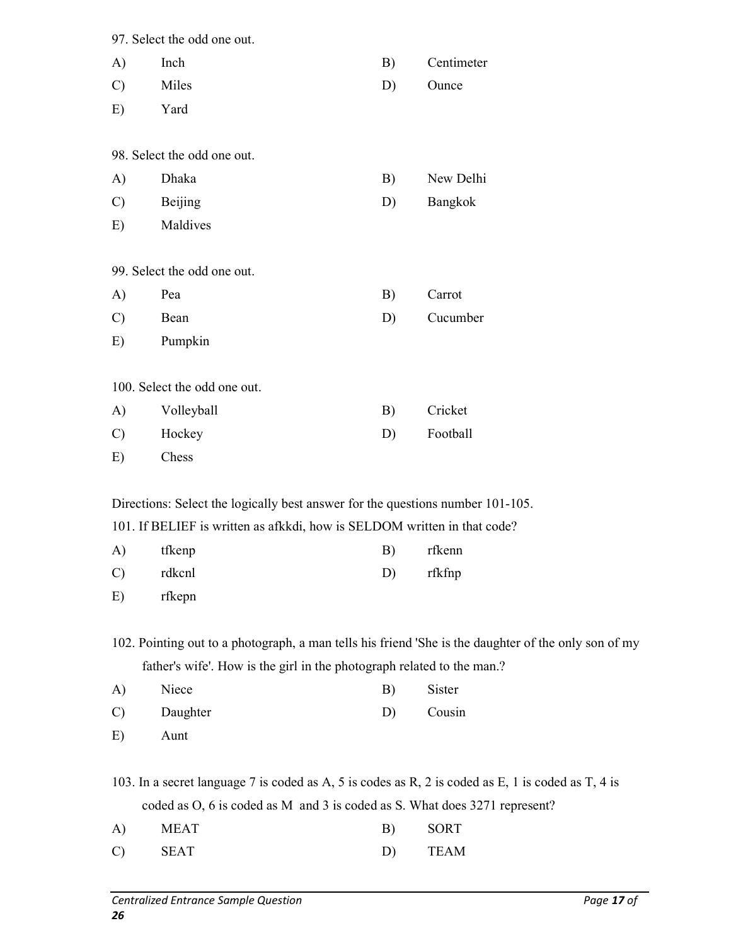|               | 97. Select the odd one out.                                                    |    |                                                                                                      |
|---------------|--------------------------------------------------------------------------------|----|------------------------------------------------------------------------------------------------------|
| A)            | Inch                                                                           | B) | Centimeter                                                                                           |
| $\mathcal{C}$ | Miles                                                                          | D) | Ounce                                                                                                |
| E)            | Yard                                                                           |    |                                                                                                      |
|               | 98. Select the odd one out.                                                    |    |                                                                                                      |
| A)            | Dhaka                                                                          | B) | New Delhi                                                                                            |
| $\mathcal{C}$ | Beijing                                                                        | D) | Bangkok                                                                                              |
| E)            | Maldives                                                                       |    |                                                                                                      |
|               | 99. Select the odd one out.                                                    |    |                                                                                                      |
| A)            | Pea                                                                            | B) | Carrot                                                                                               |
| $\mathcal{C}$ | Bean                                                                           | D) | Cucumber                                                                                             |
| E)            | Pumpkin                                                                        |    |                                                                                                      |
|               | 100. Select the odd one out.                                                   |    |                                                                                                      |
| A)            | Volleyball                                                                     | B) | Cricket                                                                                              |
| $\mathcal{C}$ | Hockey                                                                         | D) | Football                                                                                             |
| E)            | Chess                                                                          |    |                                                                                                      |
|               | Directions: Select the logically best answer for the questions number 101-105. |    |                                                                                                      |
|               | 101. If BELIEF is written as afkkdi, how is SELDOM written in that code?       |    |                                                                                                      |
|               | A) tfkenp                                                                      |    | B) rfkenn                                                                                            |
| $\mathcal{C}$ | rdkcnl                                                                         | D) | rfkfnp                                                                                               |
| E)            | rfkepn                                                                         |    |                                                                                                      |
|               |                                                                                |    | 102. Pointing out to a photograph, a man tells his friend 'She is the daughter of the only son of my |
|               | father's wife'. How is the girl in the photograph related to the man.?         |    |                                                                                                      |
| A)            | Niece                                                                          | B) | Sister                                                                                               |
| $\mathcal{C}$ | Daughter                                                                       | D) | Cousin                                                                                               |
| E)            | Aunt                                                                           |    |                                                                                                      |
|               |                                                                                |    | 103. In a secret language 7 is coded as A, 5 is codes as R, 2 is coded as E, 1 is coded as T, 4 is   |
|               | coded as O, 6 is coded as M and 3 is coded as S. What does 3271 represent?     |    |                                                                                                      |

| A)            | MEAT        | B) | SORT |
|---------------|-------------|----|------|
| $\mathcal{C}$ | <b>SEAT</b> |    | TEAM |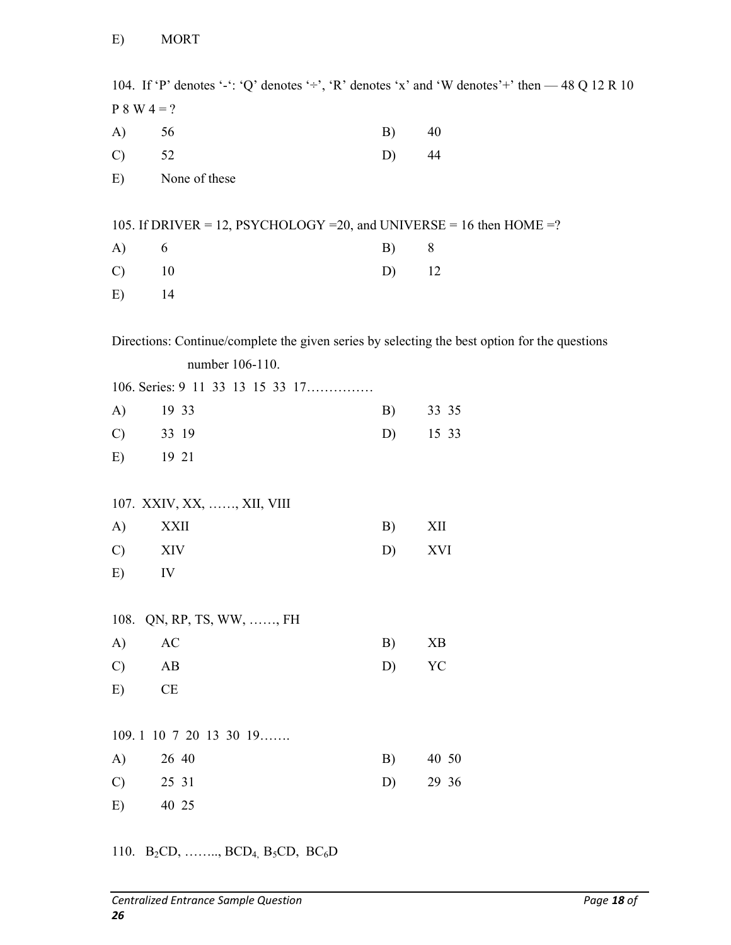104. If 'P' denotes '-': 'Q' denotes ' $\div$ ', 'R' denotes 'x' and 'W denotes' $\div$ ' then  $-$  48 Q 12 R 10  $P 8 W 4 = ?$ A) 56 B) 40 C)  $52$  D)  $44$ E) None of these 105. If DRIVER = 12, PSYCHOLOGY = 20, and UNIVERSE = 16 then HOME = ? A) 6 B) 8 C) 10 D) 12 E) 14 Directions: Continue/complete the given series by selecting the best option for the questions number 106-110. 106. Series: 9 11 33 13 15 33 17…………… A) 19 33 B) 33 35 C) 33 19 D) 15 33 E) 19 21 107. XXIV, XX, ……, XII, VIII A) XXII B) XII C) XIV D) XVI E) IV 108. QN, RP, TS, WW, ……, FH A) AC B) XB C) AB D) YC E) CE 109. 1 10 7 20 13 30 19……. A) 26 40 B) 40 50 C)  $25 \t31$  D)  $29 \t36$ E) 40 25

110.  $B_2CD, \ldots, BCD_4, B_5CD, BC_6D$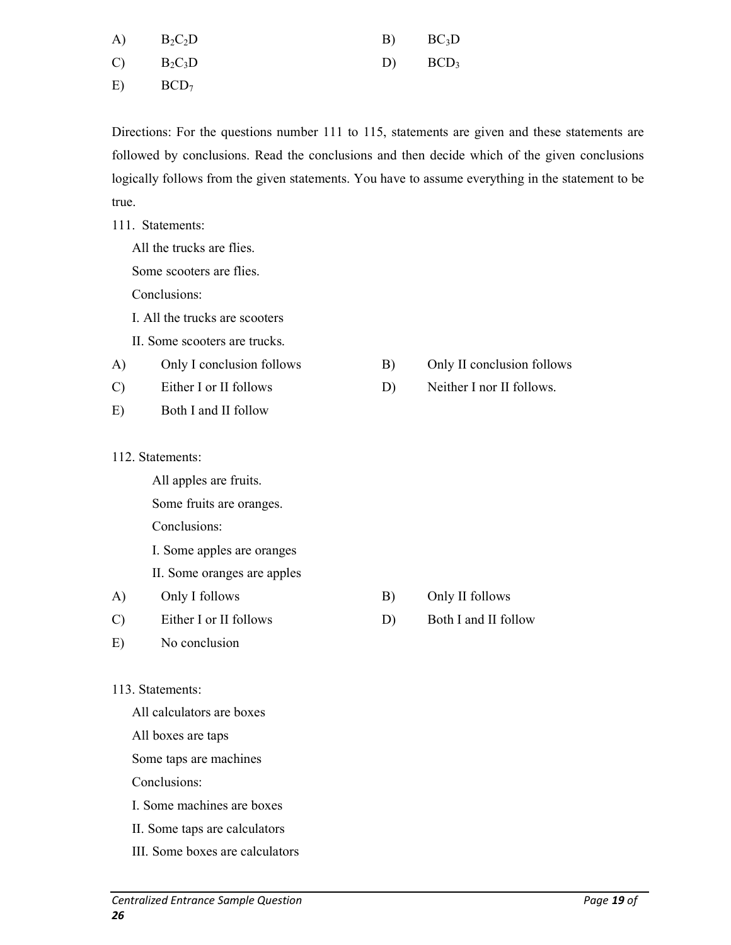| $A)$ $B_2C_2D$ | $B)$ $BC_3D$ |
|----------------|--------------|
| $C)$ $B_2C_3D$ | $D)$ $BCD_3$ |

 $E)$  BCD<sub>7</sub>

Directions: For the questions number 111 to 115, statements are given and these statements are followed by conclusions. Read the conclusions and then decide which of the given conclusions logically follows from the given statements. You have to assume everything in the statement to be true.

111. Statements:

All the trucks are flies.

Some scooters are flies.

Conclusions:

- I. All the trucks are scooters
- II. Some scooters are trucks.
- A) Only I conclusion follows B) Only II conclusion follows
- 
- E) Both I and II follow
- 112. Statements:

All apples are fruits.

Some fruits are oranges.

Conclusions:

I. Some apples are oranges

II. Some oranges are apples

- A) Only I follows B) Only II follows
- C) Either I or II follows D) Both I and II follow
- E) No conclusion

#### 113. Statements:

All calculators are boxes

All boxes are taps

Some taps are machines

Conclusions:

- I. Some machines are boxes
- II. Some taps are calculators
- III. Some boxes are calculators
- 
- C) Either I or II follows D) Neither I nor II follows.

- 
-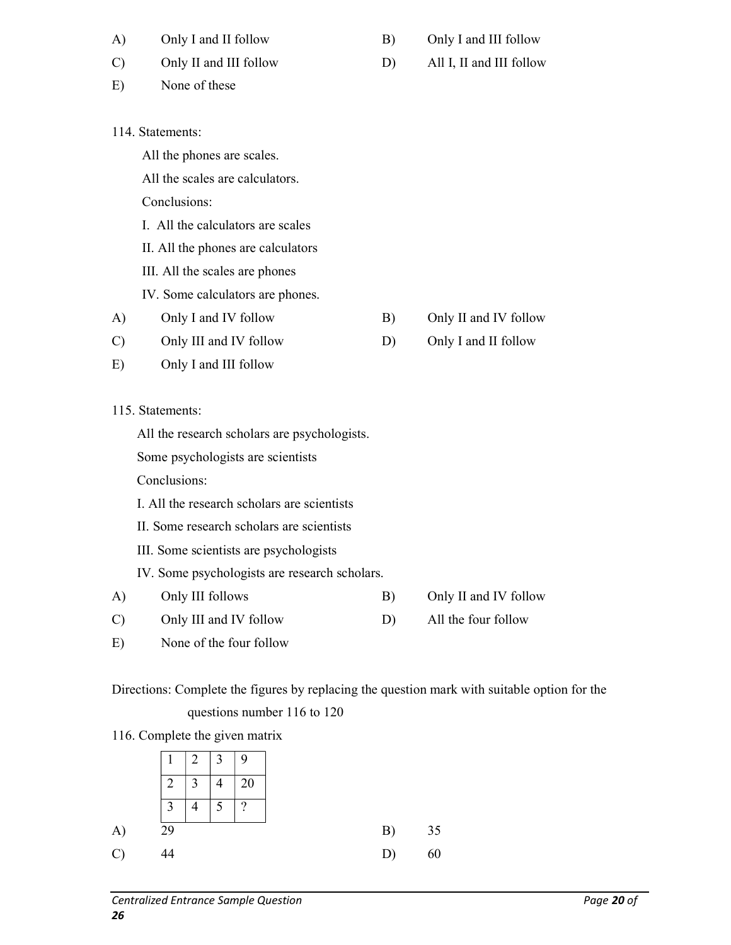| A)            | Only I and II follow                          | B) | Only I and III follow    |
|---------------|-----------------------------------------------|----|--------------------------|
| $\mathcal{C}$ | Only II and III follow                        | D) | All I, II and III follow |
| E)            | None of these                                 |    |                          |
|               |                                               |    |                          |
|               | 114. Statements:                              |    |                          |
|               | All the phones are scales.                    |    |                          |
|               | All the scales are calculators.               |    |                          |
|               | Conclusions:                                  |    |                          |
|               | I. All the calculators are scales             |    |                          |
|               | II. All the phones are calculators            |    |                          |
|               | III. All the scales are phones                |    |                          |
|               | IV. Some calculators are phones.              |    |                          |
| A)            | Only I and IV follow                          | B) | Only II and IV follow    |
| $\mathcal{C}$ | Only III and IV follow                        | D) | Only I and II follow     |
| E)            | Only I and III follow                         |    |                          |
|               |                                               |    |                          |
|               | 115. Statements:                              |    |                          |
|               | All the research scholars are psychologists.  |    |                          |
|               | Some psychologists are scientists             |    |                          |
|               | Conclusions:                                  |    |                          |
|               | I. All the research scholars are scientists   |    |                          |
|               | II. Some research scholars are scientists     |    |                          |
|               | III. Some scientists are psychologists        |    |                          |
|               | IV. Some psychologists are research scholars. |    |                          |
| A)            | Only III follows                              | B) | Only II and IV follow    |
| $\mathcal{C}$ | Only III and IV follow                        | D) | All the four follow      |

E) None of the four follow

Directions: Complete the figures by replacing the question mark with suitable option for the questions number 116 to 120

116. Complete the given matrix

|             | $\perp$        | $2^{\circ}$    | $\begin{array}{ c c c } \hline 3 & 9 \\ \hline \end{array}$ |          |
|-------------|----------------|----------------|-------------------------------------------------------------|----------|
|             | $\overline{2}$ | $\overline{3}$ | 4                                                           | 20       |
|             | $\mathbf{c}$   | л              | 5                                                           | $\gamma$ |
| A)          | 29             |                |                                                             |          |
| $\mathbf C$ |                |                |                                                             |          |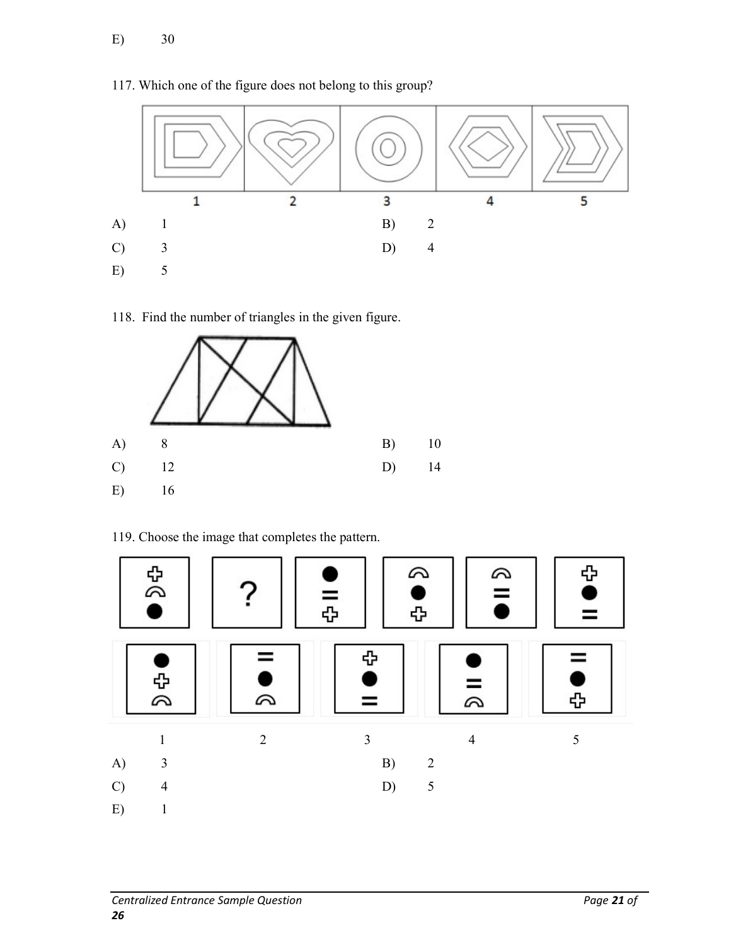#### 117. Which one of the figure does not belong to this group?



118. Find the number of triangles in the given figure.



119. Choose the image that completes the pattern.

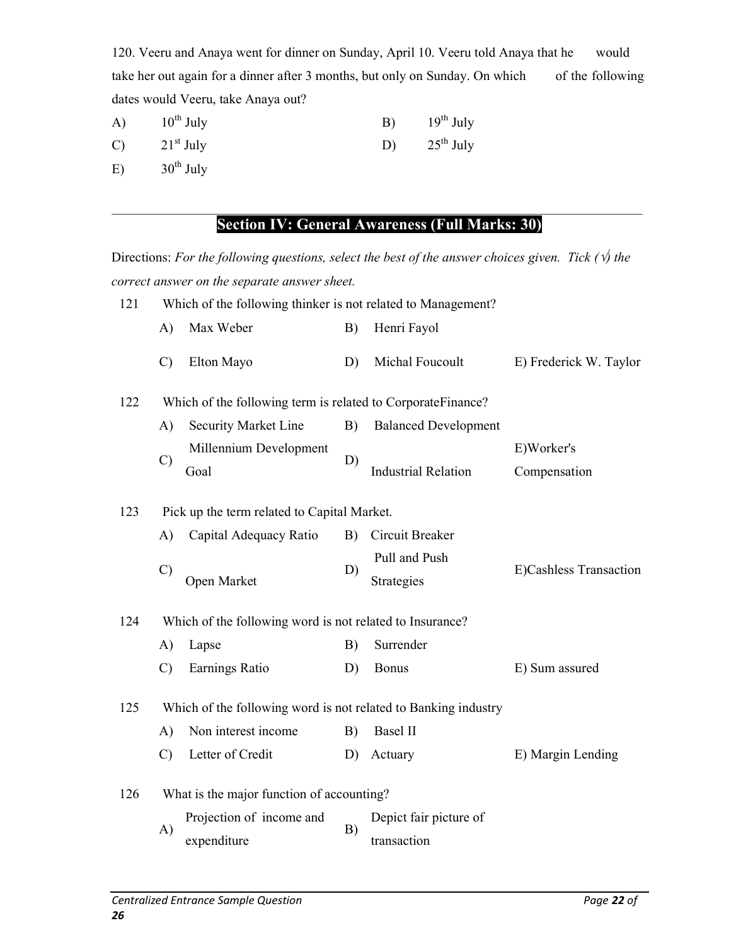120. Veeru and Anaya went for dinner on Sunday, April 10. Veeru told Anaya that he would take her out again for a dinner after 3 months, but only on Sunday. On which of the following dates would Veeru, take Anaya out?

| A)            | $10^{th}$ July        | B) | $19^{th}$ July |
|---------------|-----------------------|----|----------------|
| $\mathcal{C}$ | $21st$ July           | D) | $25^{th}$ July |
| E)            | $30^{\text{th}}$ July |    |                |

#### $\_$  , and the set of the set of the set of the set of the set of the set of the set of the set of the set of the set of the set of the set of the set of the set of the set of the set of the set of the set of the set of th Section IV: General Awareness (Full Marks: 30)

Directions: For the following questions, select the best of the answer choices given. Tick ( $\psi$ ) the correct answer on the separate answer sheet.

| 121 | Which of the following thinker is not related to Management? |                                                                |    |                                       |                            |  |
|-----|--------------------------------------------------------------|----------------------------------------------------------------|----|---------------------------------------|----------------------------|--|
|     | A)                                                           | Max Weber                                                      | B) | Henri Fayol                           |                            |  |
|     | $\mathcal{C}$                                                | Elton Mayo                                                     | D) | Michal Foucoult                       | E) Frederick W. Taylor     |  |
| 122 |                                                              | Which of the following term is related to CorporateFinance?    |    |                                       |                            |  |
|     | A)                                                           | Security Market Line                                           | B) | <b>Balanced Development</b>           |                            |  |
|     | $\mathcal{C}$                                                | Millennium Development<br>Goal                                 | D) | <b>Industrial Relation</b>            | E)Worker's<br>Compensation |  |
| 123 |                                                              | Pick up the term related to Capital Market.                    |    |                                       |                            |  |
|     | A)                                                           | Capital Adequacy Ratio                                         | B) | Circuit Breaker                       |                            |  |
|     | $\mathcal{C}$                                                | Open Market                                                    | D) | Pull and Push<br>Strategies           | E)Cashless Transaction     |  |
| 124 |                                                              | Which of the following word is not related to Insurance?       |    |                                       |                            |  |
|     | A)                                                           | Lapse                                                          | B) | Surrender                             |                            |  |
|     | $\mathcal{C}$                                                | Earnings Ratio                                                 | D) | <b>Bonus</b>                          | E) Sum assured             |  |
| 125 |                                                              | Which of the following word is not related to Banking industry |    |                                       |                            |  |
|     | A)                                                           | Non interest income                                            | B) | <b>Basel II</b>                       |                            |  |
|     | $\mathcal{C}$                                                | Letter of Credit                                               | D) | Actuary                               | E) Margin Lending          |  |
| 126 |                                                              | What is the major function of accounting?                      |    |                                       |                            |  |
|     | A)                                                           | Projection of income and<br>expenditure                        | B) | Depict fair picture of<br>transaction |                            |  |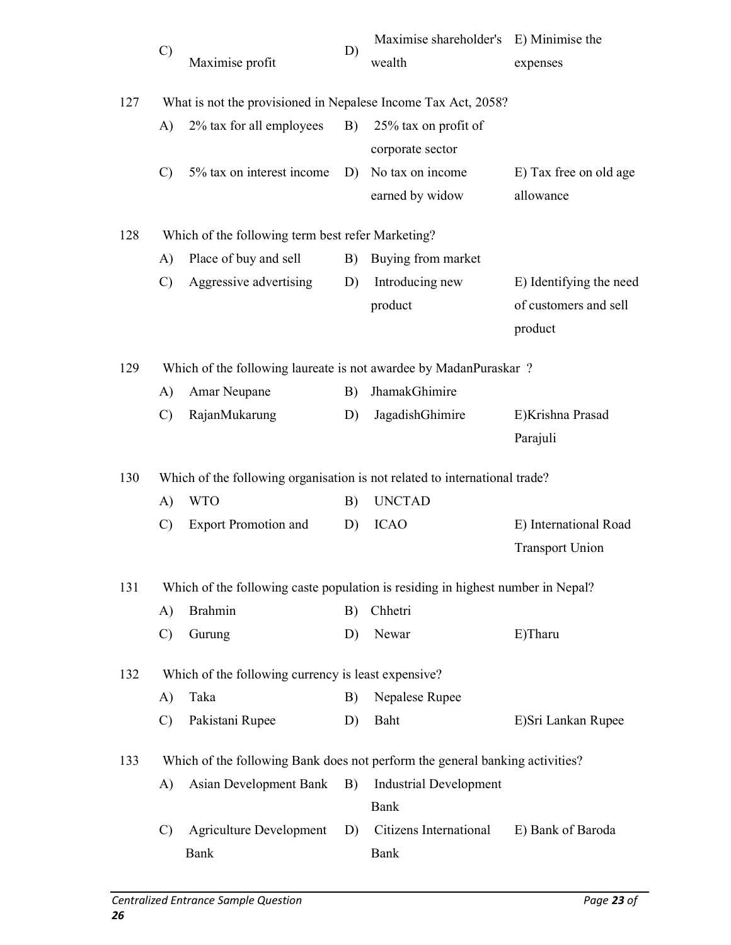|     | $\mathcal{C}$                                                 | Maximise profit                                                                 | D) | Maximise shareholder's E) Minimise the<br>wealth | expenses                            |  |  |
|-----|---------------------------------------------------------------|---------------------------------------------------------------------------------|----|--------------------------------------------------|-------------------------------------|--|--|
| 127 | What is not the provisioned in Nepalese Income Tax Act, 2058? |                                                                                 |    |                                                  |                                     |  |  |
|     | A)                                                            | 2% tax for all employees                                                        | B) | 25% tax on profit of<br>corporate sector         |                                     |  |  |
|     | $\mathcal{C}$                                                 | 5% tax on interest income                                                       | D) | No tax on income<br>earned by widow              | E) Tax free on old age<br>allowance |  |  |
| 128 |                                                               | Which of the following term best refer Marketing?                               |    |                                                  |                                     |  |  |
|     | A)                                                            | Place of buy and sell                                                           | B) | Buying from market                               |                                     |  |  |
|     | $\mathcal{C}$                                                 | Aggressive advertising                                                          | D) | Introducing new                                  | E) Identifying the need             |  |  |
|     |                                                               |                                                                                 |    | product                                          | of customers and sell               |  |  |
|     |                                                               |                                                                                 |    |                                                  | product                             |  |  |
| 129 |                                                               | Which of the following laureate is not awardee by MadanPuraskar?                |    |                                                  |                                     |  |  |
|     | A)                                                            | Amar Neupane                                                                    | B) | JhamakGhimire                                    |                                     |  |  |
|     | $\mathcal{C}$                                                 | RajanMukarung                                                                   | D) | JagadishGhimire                                  | E)Krishna Prasad                    |  |  |
|     |                                                               |                                                                                 |    |                                                  | Parajuli                            |  |  |
| 130 |                                                               | Which of the following organisation is not related to international trade?      |    |                                                  |                                     |  |  |
|     | A)                                                            | <b>WTO</b>                                                                      | B) | <b>UNCTAD</b>                                    |                                     |  |  |
|     | $\mathcal{C}$                                                 | <b>Export Promotion and</b>                                                     | D) | <b>ICAO</b>                                      | E) International Road               |  |  |
|     |                                                               |                                                                                 |    |                                                  | <b>Transport Union</b>              |  |  |
| 131 |                                                               | Which of the following caste population is residing in highest number in Nepal? |    |                                                  |                                     |  |  |
|     | A)                                                            | <b>Brahmin</b>                                                                  | B) | Chhetri                                          |                                     |  |  |
|     | $\mathcal{C}$                                                 | Gurung                                                                          | D) | Newar                                            | E)Tharu                             |  |  |
| 132 |                                                               | Which of the following currency is least expensive?                             |    |                                                  |                                     |  |  |
|     | A)                                                            | Taka                                                                            | B) | Nepalese Rupee                                   |                                     |  |  |
|     | $\mathcal{C}$                                                 | Pakistani Rupee                                                                 | D) | Baht                                             | E)Sri Lankan Rupee                  |  |  |
| 133 |                                                               | Which of the following Bank does not perform the general banking activities?    |    |                                                  |                                     |  |  |
|     | A)                                                            | Asian Development Bank                                                          | B) | <b>Industrial Development</b>                    |                                     |  |  |
|     |                                                               |                                                                                 |    | Bank                                             |                                     |  |  |
|     | $\mathcal{C}$                                                 | <b>Agriculture Development</b>                                                  | D) | Citizens International                           | E) Bank of Baroda                   |  |  |
|     |                                                               | Bank                                                                            |    | Bank                                             |                                     |  |  |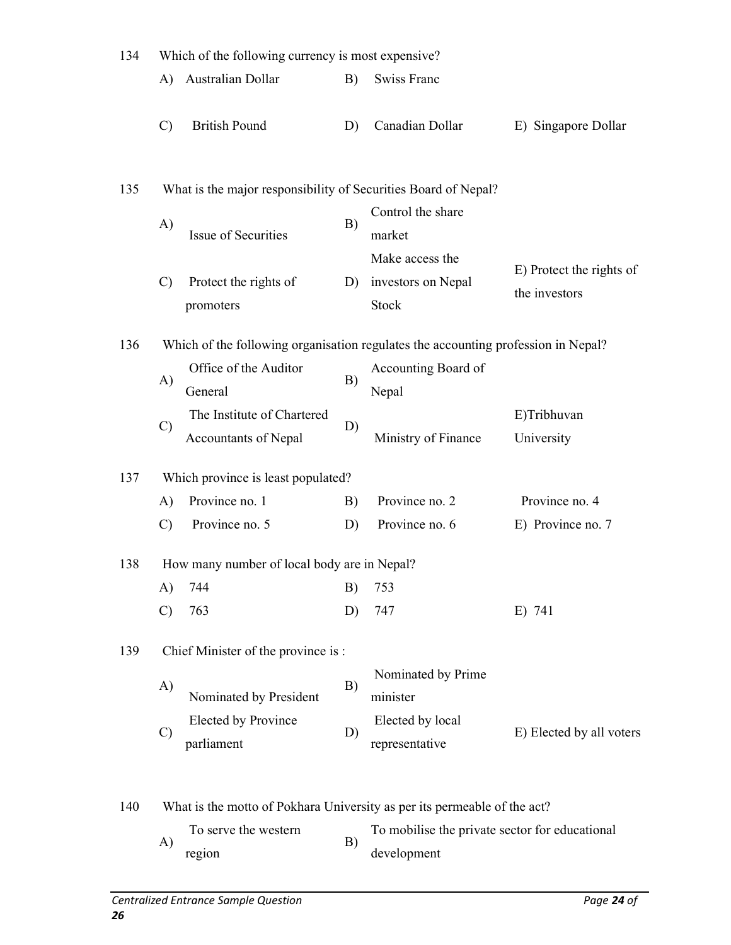| 134 | Which of the following currency is most expensive?                                |                                                    |    |                                                               |                                           |  |  |  |
|-----|-----------------------------------------------------------------------------------|----------------------------------------------------|----|---------------------------------------------------------------|-------------------------------------------|--|--|--|
|     | A)                                                                                | Australian Dollar                                  | B) | Swiss Franc                                                   |                                           |  |  |  |
|     | $\mathcal{C}$                                                                     | <b>British Pound</b>                               | D) | Canadian Dollar                                               | E) Singapore Dollar                       |  |  |  |
| 135 | What is the major responsibility of Securities Board of Nepal?                    |                                                    |    |                                                               |                                           |  |  |  |
|     | A)                                                                                | Issue of Securities                                | B) | Control the share<br>market                                   |                                           |  |  |  |
|     | $\mathcal{C}$                                                                     | Protect the rights of<br>promoters                 | D) | Make access the<br>investors on Nepal<br><b>Stock</b>         | E) Protect the rights of<br>the investors |  |  |  |
| 136 | Which of the following organisation regulates the accounting profession in Nepal? |                                                    |    |                                                               |                                           |  |  |  |
|     | A)                                                                                | Office of the Auditor<br>General                   | B) | Accounting Board of<br>Nepal                                  |                                           |  |  |  |
|     | $\mathcal{C}$                                                                     | The Institute of Chartered<br>Accountants of Nepal | D) | Ministry of Finance                                           | E)Tribhuvan<br>University                 |  |  |  |
| 137 |                                                                                   | Which province is least populated?                 |    |                                                               |                                           |  |  |  |
|     | A)                                                                                | Province no. 1                                     | B) | Province no. 2                                                | Province no. 4                            |  |  |  |
|     | $\mathcal{C}$                                                                     | Province no. 5                                     | D) | Province no. 6                                                | E) Province no. 7                         |  |  |  |
| 138 |                                                                                   | How many number of local body are in Nepal?        |    |                                                               |                                           |  |  |  |
|     | A)                                                                                | 744                                                | B) | 753                                                           |                                           |  |  |  |
|     | $\mathcal{C}$                                                                     | 763                                                | D) | 747                                                           | E) 741                                    |  |  |  |
| 139 |                                                                                   | Chief Minister of the province is :                |    |                                                               |                                           |  |  |  |
|     | A)                                                                                | Nominated by President                             | B) | Nominated by Prime<br>minister                                |                                           |  |  |  |
|     | $\mathcal{C}$                                                                     | Elected by Province<br>parliament                  | D) | Elected by local<br>representative                            | E) Elected by all voters                  |  |  |  |
| 140 | What is the motto of Pokhara University as per its permeable of the act?          |                                                    |    |                                                               |                                           |  |  |  |
|     | A)                                                                                | To serve the western<br>region                     | B) | To mobilise the private sector for educational<br>development |                                           |  |  |  |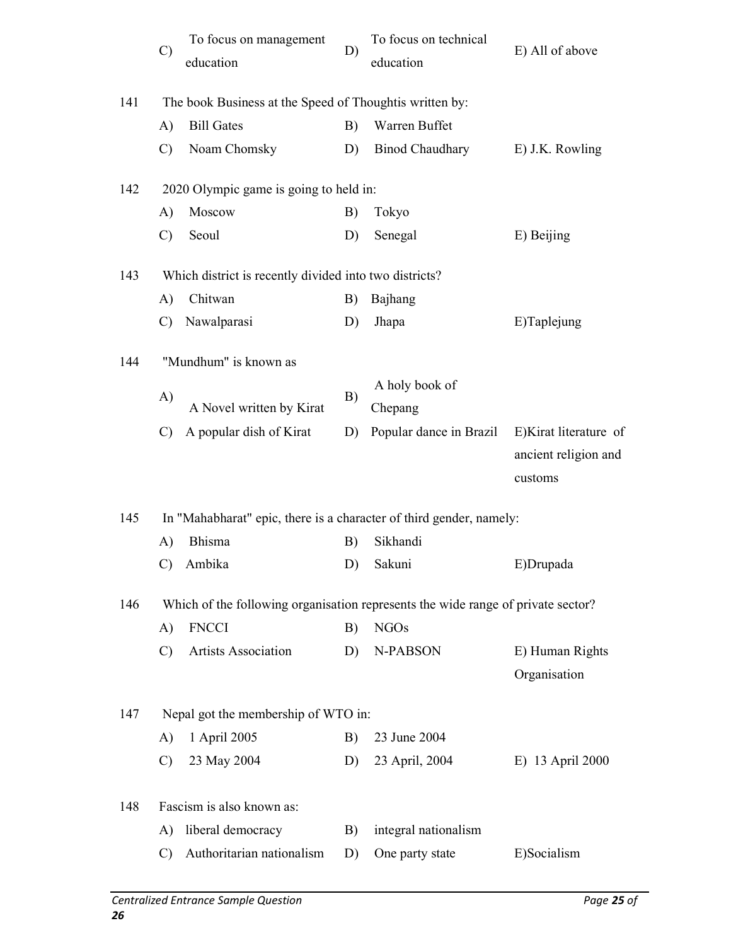|     | $\mathcal{C}$                                                                    | To focus on management<br>education                     | D) | To focus on technical<br>education | E) All of above       |  |  |  |  |
|-----|----------------------------------------------------------------------------------|---------------------------------------------------------|----|------------------------------------|-----------------------|--|--|--|--|
| 141 |                                                                                  | The book Business at the Speed of Thoughtis written by: |    |                                    |                       |  |  |  |  |
|     | A)                                                                               | <b>Bill Gates</b>                                       | B) | Warren Buffet                      |                       |  |  |  |  |
|     | $\mathcal{C}$                                                                    | Noam Chomsky                                            | D) | <b>Binod Chaudhary</b>             | E) J.K. Rowling       |  |  |  |  |
| 142 |                                                                                  | 2020 Olympic game is going to held in:                  |    |                                    |                       |  |  |  |  |
|     | A)                                                                               | Moscow                                                  | B) | Tokyo                              |                       |  |  |  |  |
|     | $\mathcal{C}$                                                                    | Seoul                                                   | D) | Senegal                            | E) Beijing            |  |  |  |  |
| 143 | Which district is recently divided into two districts?                           |                                                         |    |                                    |                       |  |  |  |  |
|     | $\bf{A}$                                                                         | Chitwan                                                 | B) | Bajhang                            |                       |  |  |  |  |
|     | $\mathcal{C}$                                                                    | Nawalparasi                                             | D) | Jhapa                              | E)Taplejung           |  |  |  |  |
| 144 | "Mundhum" is known as                                                            |                                                         |    |                                    |                       |  |  |  |  |
|     | A)                                                                               |                                                         | B) | A holy book of                     |                       |  |  |  |  |
|     |                                                                                  | A Novel written by Kirat                                |    | Chepang                            |                       |  |  |  |  |
|     | $\mathcal{C}$                                                                    | A popular dish of Kirat                                 | D) | Popular dance in Brazil            | E)Kirat literature of |  |  |  |  |
|     |                                                                                  |                                                         |    |                                    | ancient religion and  |  |  |  |  |
|     |                                                                                  |                                                         |    |                                    | customs               |  |  |  |  |
| 145 | In "Mahabharat" epic, there is a character of third gender, namely:              |                                                         |    |                                    |                       |  |  |  |  |
|     | A)                                                                               | Bhisma                                                  | B) | Sikhandi                           |                       |  |  |  |  |
|     |                                                                                  | C) Ambika                                               |    | D) Sakuni                          | E)Drupada             |  |  |  |  |
| 146 | Which of the following organisation represents the wide range of private sector? |                                                         |    |                                    |                       |  |  |  |  |
|     | A)                                                                               | <b>FNCCI</b>                                            | B) | <b>NGOs</b>                        |                       |  |  |  |  |
|     | $\mathcal{C}$                                                                    | Artists Association                                     | D) | N-PABSON                           | E) Human Rights       |  |  |  |  |
|     |                                                                                  |                                                         |    |                                    | Organisation          |  |  |  |  |
| 147 | Nepal got the membership of WTO in:                                              |                                                         |    |                                    |                       |  |  |  |  |
|     | A)                                                                               | 1 April 2005                                            | B) | 23 June 2004                       |                       |  |  |  |  |
|     | $\mathcal{C}$                                                                    | 23 May 2004                                             | D) | 23 April, 2004                     | E) 13 April 2000      |  |  |  |  |
| 148 | Fascism is also known as:                                                        |                                                         |    |                                    |                       |  |  |  |  |
|     | A)                                                                               | liberal democracy                                       | B) | integral nationalism               |                       |  |  |  |  |
|     | $\mathbf{C}$                                                                     | Authoritarian nationalism                               | D) | One party state                    | E)Socialism           |  |  |  |  |